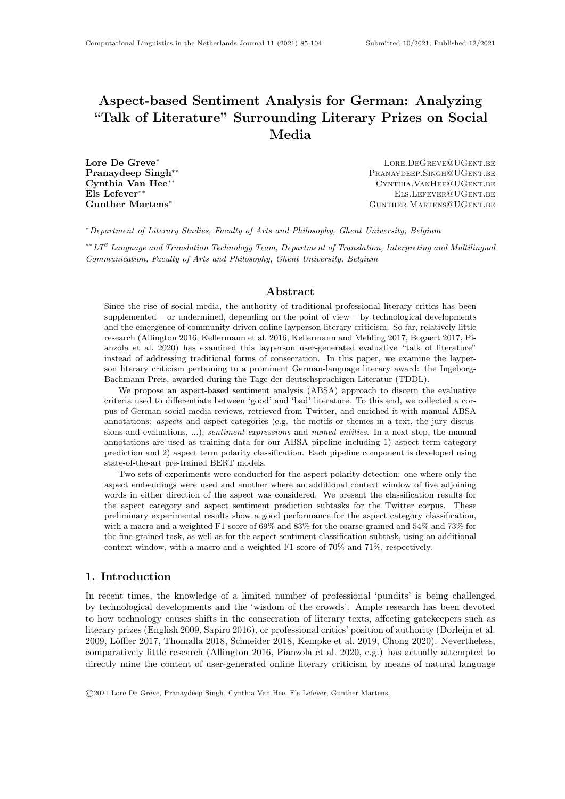# Aspect-based Sentiment Analysis for German: Analyzing "Talk of Literature" Surrounding Literary Prizes on Social Media

Lore De Greve<sup>∗</sup> Lore.DeGreve@UGent.be PRANAYDEEP.SINGH<sup>@UGENT.BE</sup> Cynthia Van Hee<sup>∗∗</sup> Cynthia Van Hee<sup>∗∗</sup> Cynthia.Van Hee<sup>are</sup> Els Lefever<sup>∗∗</sup> Els.Lefever<sup>∗∗</sup> Els.Lefever®UGent.be Gunther Martens<sup>∗</sup> GUNTHER.MARTENS@UGENT.BE

<sup>∗</sup>Department of Literary Studies, Faculty of Arts and Philosophy, Ghent University, Belgium

 $* L T<sup>3</sup>$  Language and Translation Technology Team, Department of Translation, Interpreting and Multilingual Communication, Faculty of Arts and Philosophy, Ghent University, Belgium

## Abstract

Since the rise of social media, the authority of traditional professional literary critics has been supplemented – or undermined, depending on the point of view – by technological developments and the emergence of community-driven online layperson literary criticism. So far, relatively little research (Allington 2016, Kellermann et al. 2016, Kellermann and Mehling 2017, Bogaert 2017, Pianzola et al. 2020) has examined this layperson user-generated evaluative "talk of literature" instead of addressing traditional forms of consecration. In this paper, we examine the layperson literary criticism pertaining to a prominent German-language literary award: the Ingeborg-Bachmann-Preis, awarded during the Tage der deutschsprachigen Literatur (TDDL).

We propose an aspect-based sentiment analysis (ABSA) approach to discern the evaluative criteria used to differentiate between 'good' and 'bad' literature. To this end, we collected a corpus of German social media reviews, retrieved from Twitter, and enriched it with manual ABSA annotations: *aspects* and aspect categories (e.g. the motifs or themes in a text, the jury discussions and evaluations, ...), *sentiment expressions* and *named entities*. In a next step, the manual annotations are used as training data for our ABSA pipeline including 1) aspect term category prediction and 2) aspect term polarity classification. Each pipeline component is developed using state-of-the-art pre-trained BERT models.

Two sets of experiments were conducted for the aspect polarity detection: one where only the aspect embeddings were used and another where an additional context window of five adjoining words in either direction of the aspect was considered. We present the classification results for the aspect category and aspect sentiment prediction subtasks for the Twitter corpus. These preliminary experimental results show a good performance for the aspect category classification, with a macro and a weighted F1-score of 69% and 83% for the coarse-grained and 54% and 73% for the fine-grained task, as well as for the aspect sentiment classification subtask, using an additional context window, with a macro and a weighted F1-score of 70% and 71%, respectively.

# 1. Introduction

In recent times, the knowledge of a limited number of professional 'pundits' is being challenged by technological developments and the 'wisdom of the crowds'. Ample research has been devoted to how technology causes shifts in the consecration of literary texts, affecting gatekeepers such as literary prizes (English 2009, Sapiro 2016), or professional critics' position of authority (Dorleijn et al. 2009, Löffler 2017, Thomalla 2018, Schneider 2018, Kempke et al. 2019, Chong 2020). Nevertheless, comparatively little research (Allington 2016, Pianzola et al. 2020, e.g.) has actually attempted to directly mine the content of user-generated online literary criticism by means of natural language

©2021 Lore De Greve, Pranaydeep Singh, Cynthia Van Hee, Els Lefever, Gunther Martens.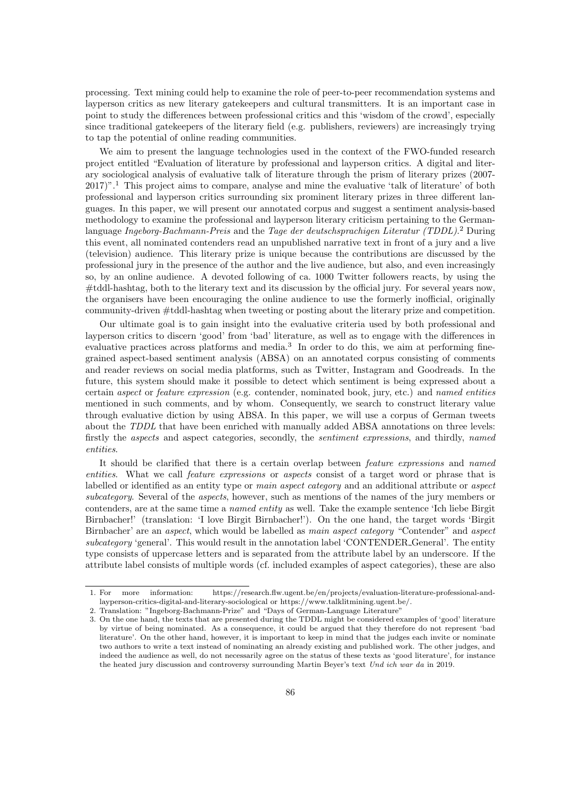processing. Text mining could help to examine the role of peer-to-peer recommendation systems and layperson critics as new literary gatekeepers and cultural transmitters. It is an important case in point to study the differences between professional critics and this 'wisdom of the crowd', especially since traditional gatekeepers of the literary field (e.g. publishers, reviewers) are increasingly trying to tap the potential of online reading communities.

We aim to present the language technologies used in the context of the FWO-funded research project entitled "Evaluation of literature by professional and layperson critics. A digital and literary sociological analysis of evaluative talk of literature through the prism of literary prizes (2007- 2017)".<sup>1</sup> This project aims to compare, analyse and mine the evaluative 'talk of literature' of both professional and layperson critics surrounding six prominent literary prizes in three different languages. In this paper, we will present our annotated corpus and suggest a sentiment analysis-based methodology to examine the professional and layperson literary criticism pertaining to the Germanlanguage Ingeborg-Bachmann-Preis and the Tage der deutschsprachigen Literatur (TDDL).<sup>2</sup> During this event, all nominated contenders read an unpublished narrative text in front of a jury and a live (television) audience. This literary prize is unique because the contributions are discussed by the professional jury in the presence of the author and the live audience, but also, and even increasingly so, by an online audience. A devoted following of ca. 1000 Twitter followers reacts, by using the #tddl-hashtag, both to the literary text and its discussion by the official jury. For several years now, the organisers have been encouraging the online audience to use the formerly inofficial, originally community-driven #tddl-hashtag when tweeting or posting about the literary prize and competition.

Our ultimate goal is to gain insight into the evaluative criteria used by both professional and layperson critics to discern 'good' from 'bad' literature, as well as to engage with the differences in evaluative practices across platforms and media.<sup>3</sup> In order to do this, we aim at performing finegrained aspect-based sentiment analysis (ABSA) on an annotated corpus consisting of comments and reader reviews on social media platforms, such as Twitter, Instagram and Goodreads. In the future, this system should make it possible to detect which sentiment is being expressed about a certain aspect or feature expression (e.g. contender, nominated book, jury, etc.) and named entities mentioned in such comments, and by whom. Consequently, we search to construct literary value through evaluative diction by using ABSA. In this paper, we will use a corpus of German tweets about the TDDL that have been enriched with manually added ABSA annotations on three levels: firstly the *aspects* and aspect categories, secondly, the *sentiment expressions*, and thirdly, *named* entities.

It should be clarified that there is a certain overlap between feature expressions and named entities. What we call feature expressions or aspects consist of a target word or phrase that is labelled or identified as an entity type or main aspect category and an additional attribute or aspect subcategory. Several of the aspects, however, such as mentions of the names of the jury members or contenders, are at the same time a named entity as well. Take the example sentence 'Ich liebe Birgit Birnbacher!' (translation: 'I love Birgit Birnbacher!'). On the one hand, the target words 'Birgit Birnbacher' are an aspect, which would be labelled as main aspect category "Contender" and aspect subcategory 'general'. This would result in the annotation label 'CONTENDER General'. The entity type consists of uppercase letters and is separated from the attribute label by an underscore. If the attribute label consists of multiple words (cf. included examples of aspect categories), these are also

<sup>1.</sup> For more information: https://research.flw.ugent.be/en/projects/evaluation-literature-professional-andlayperson-critics-digital-and-literary-sociological or https://www.talklitmining.ugent.be/.

<sup>2.</sup> Translation: "Ingeborg-Bachmann-Prize" and "Days of German-Language Literature"

<sup>3.</sup> On the one hand, the texts that are presented during the TDDL might be considered examples of 'good' literature by virtue of being nominated. As a consequence, it could be argued that they therefore do not represent 'bad literature'. On the other hand, however, it is important to keep in mind that the judges each invite or nominate two authors to write a text instead of nominating an already existing and published work. The other judges, and indeed the audience as well, do not necessarily agree on the status of these texts as 'good literature', for instance the heated jury discussion and controversy surrounding Martin Beyer's text Und ich war da in 2019.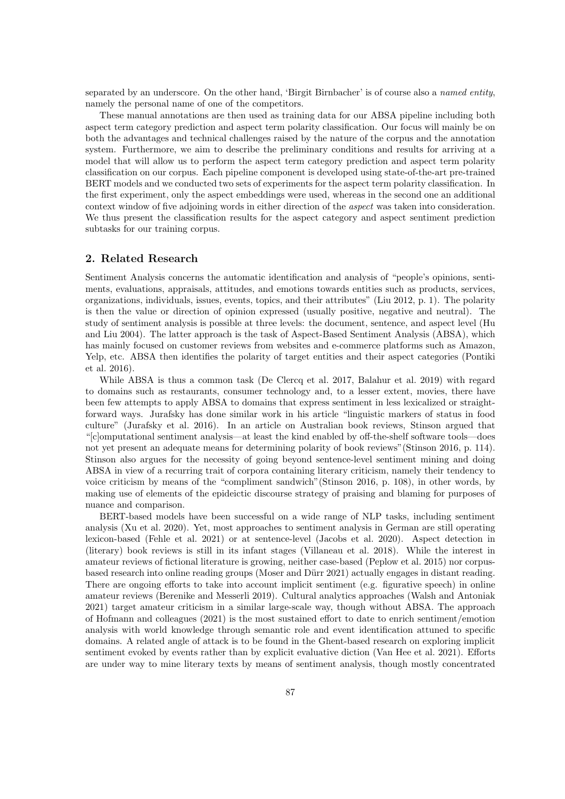separated by an underscore. On the other hand, 'Birgit Birnbacher' is of course also a named entity, namely the personal name of one of the competitors.

These manual annotations are then used as training data for our ABSA pipeline including both aspect term category prediction and aspect term polarity classification. Our focus will mainly be on both the advantages and technical challenges raised by the nature of the corpus and the annotation system. Furthermore, we aim to describe the preliminary conditions and results for arriving at a model that will allow us to perform the aspect term category prediction and aspect term polarity classification on our corpus. Each pipeline component is developed using state-of-the-art pre-trained BERT models and we conducted two sets of experiments for the aspect term polarity classification. In the first experiment, only the aspect embeddings were used, whereas in the second one an additional context window of five adjoining words in either direction of the aspect was taken into consideration. We thus present the classification results for the aspect category and aspect sentiment prediction subtasks for our training corpus.

### 2. Related Research

Sentiment Analysis concerns the automatic identification and analysis of "people's opinions, sentiments, evaluations, appraisals, attitudes, and emotions towards entities such as products, services, organizations, individuals, issues, events, topics, and their attributes" (Liu 2012, p. 1). The polarity is then the value or direction of opinion expressed (usually positive, negative and neutral). The study of sentiment analysis is possible at three levels: the document, sentence, and aspect level (Hu and Liu 2004). The latter approach is the task of Aspect-Based Sentiment Analysis (ABSA), which has mainly focused on customer reviews from websites and e-commerce platforms such as Amazon, Yelp, etc. ABSA then identifies the polarity of target entities and their aspect categories (Pontiki et al. 2016).

While ABSA is thus a common task (De Clercq et al. 2017, Balahur et al. 2019) with regard to domains such as restaurants, consumer technology and, to a lesser extent, movies, there have been few attempts to apply ABSA to domains that express sentiment in less lexicalized or straightforward ways. Jurafsky has done similar work in his article "linguistic markers of status in food culture" (Jurafsky et al. 2016). In an article on Australian book reviews, Stinson argued that "[c]omputational sentiment analysis—at least the kind enabled by off-the-shelf software tools—does not yet present an adequate means for determining polarity of book reviews"(Stinson 2016, p. 114). Stinson also argues for the necessity of going beyond sentence-level sentiment mining and doing ABSA in view of a recurring trait of corpora containing literary criticism, namely their tendency to voice criticism by means of the "compliment sandwich"(Stinson 2016, p. 108), in other words, by making use of elements of the epideictic discourse strategy of praising and blaming for purposes of nuance and comparison.

BERT-based models have been successful on a wide range of NLP tasks, including sentiment analysis (Xu et al. 2020). Yet, most approaches to sentiment analysis in German are still operating lexicon-based (Fehle et al. 2021) or at sentence-level (Jacobs et al. 2020). Aspect detection in (literary) book reviews is still in its infant stages (Villaneau et al. 2018). While the interest in amateur reviews of fictional literature is growing, neither case-based (Peplow et al. 2015) nor corpusbased research into online reading groups (Moser and Dürr 2021) actually engages in distant reading. There are ongoing efforts to take into account implicit sentiment (e.g. figurative speech) in online amateur reviews (Berenike and Messerli 2019). Cultural analytics approaches (Walsh and Antoniak 2021) target amateur criticism in a similar large-scale way, though without ABSA. The approach of Hofmann and colleagues (2021) is the most sustained effort to date to enrich sentiment/emotion analysis with world knowledge through semantic role and event identification attuned to specific domains. A related angle of attack is to be found in the Ghent-based research on exploring implicit sentiment evoked by events rather than by explicit evaluative diction (Van Hee et al. 2021). Efforts are under way to mine literary texts by means of sentiment analysis, though mostly concentrated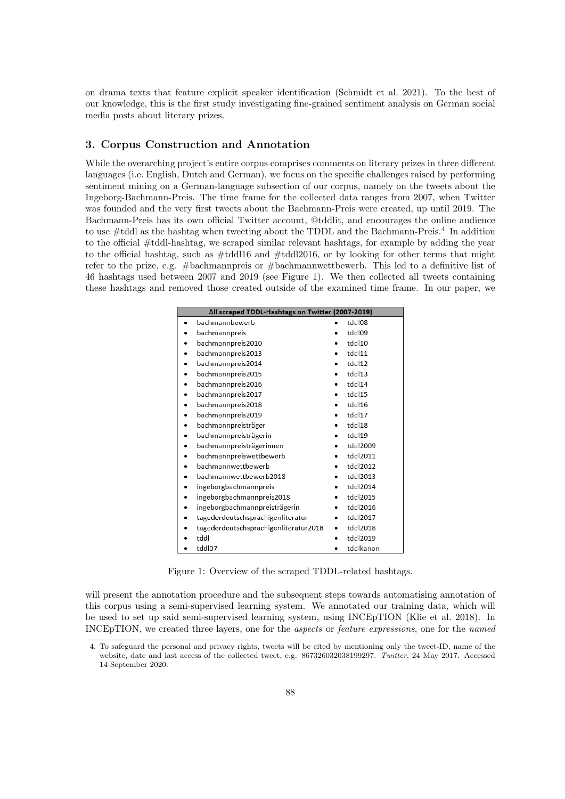on drama texts that feature explicit speaker identification (Schmidt et al. 2021). To the best of our knowledge, this is the first study investigating fine-grained sentiment analysis on German social media posts about literary prizes.

## 3. Corpus Construction and Annotation

While the overarching project's entire corpus comprises comments on literary prizes in three different languages (i.e. English, Dutch and German), we focus on the specific challenges raised by performing sentiment mining on a German-language subsection of our corpus, namely on the tweets about the Ingeborg-Bachmann-Preis. The time frame for the collected data ranges from 2007, when Twitter was founded and the very first tweets about the Bachmann-Preis were created, up until 2019. The Bachmann-Preis has its own official Twitter account, @tddlit, and encourages the online audience to use  $\#$ tddl as the hashtag when tweeting about the TDDL and the Bachmann-Preis.<sup>4</sup> In addition to the official #tddl-hashtag, we scraped similar relevant hashtags, for example by adding the year to the official hashtag, such as #tddl16 and #tddl2016, or by looking for other terms that might refer to the prize, e.g. #bachmannpreis or #bachmannwettbewerb. This led to a definitive list of 46 hashtags used between 2007 and 2019 (see Figure 1). We then collected all tweets containing these hashtags and removed those created outside of the examined time frame. In our paper, we

|   | All scraped TDDL-Hashtags on Twitter (2007-2019) |           |           |
|---|--------------------------------------------------|-----------|-----------|
| ٠ | bachmannbewerb                                   |           | tddl08    |
|   | bachmannpreis                                    |           | tddl09    |
|   | bachmannpreis2010                                | $\bullet$ | tddl10    |
|   | bachmannpreis2013                                |           | tddl11    |
| ٠ | bachmannpreis2014                                | ٠         | tddl12    |
|   | bachmannpreis2015                                | ٠         | tddl13    |
| ٠ | bachmannpreis2016                                |           | tddl14    |
|   | bachmannpreis2017                                |           | tddl15    |
|   | bachmannpreis2018                                |           | tddl16    |
|   | bachmannpreis2019                                |           | tddl17    |
|   | bachmannpreisträger                              |           | tddl18    |
| ٠ | bachmannpreisträgerin                            | $\bullet$ | tddl19    |
|   | bachmannpreisträgerinnen                         |           | tddl2009  |
| ٠ | bachmannpreiswettbewerb                          | ٠         | tddl2011  |
|   | bachmannwettbewerb                               |           | tddl2012  |
|   | bachmannwettbewerb2018                           |           | tddl2013  |
|   | ingeborgbachmannpreis                            |           | tddl2014  |
|   | ingeborgbachmannpreis2018                        |           | tddl2015  |
|   | ingeborgbachmannpreisträgerin                    | ٠         | tddl2016  |
|   | tagederdeutschsprachigenliteratur                |           | tddl2017  |
|   | tagederdeutschsprachigenliteratur2018            | ٠         | tddl2018  |
|   | tddl                                             | ٠         | tddl2019  |
| ٠ | tddl07                                           | ٠         | tddlkanon |

Figure 1: Overview of the scraped TDDL-related hashtags.

will present the annotation procedure and the subsequent steps towards automatising annotation of this corpus using a semi-supervised learning system. We annotated our training data, which will be used to set up said semi-supervised learning system, using INCEpTION (Klie et al. 2018). In INCEpTION, we created three layers, one for the aspects or feature expressions, one for the named

<sup>4.</sup> To safeguard the personal and privacy rights, tweets will be cited by mentioning only the tweet-ID, name of the website, date and last access of the collected tweet, e.g. 867326032038199297. Twitter, 24 May 2017. Accessed 14 September 2020.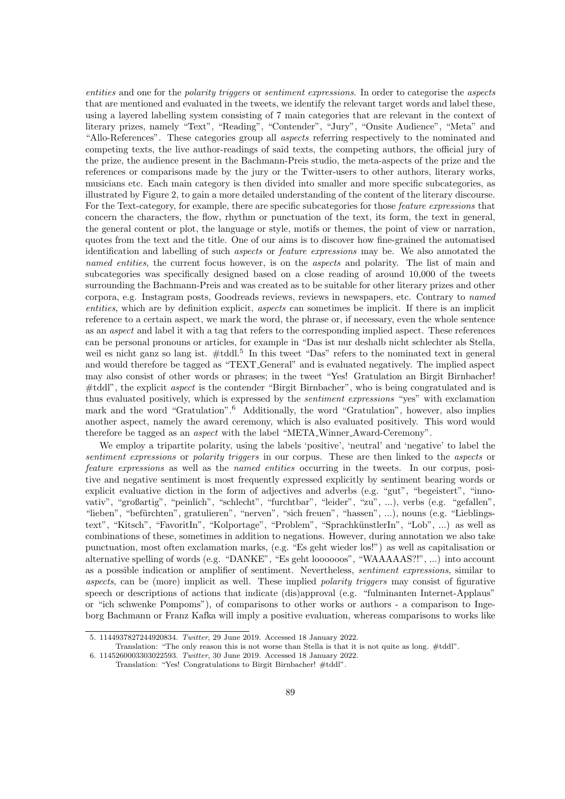entities and one for the polarity triggers or sentiment expressions. In order to categorise the aspects that are mentioned and evaluated in the tweets, we identify the relevant target words and label these, using a layered labelling system consisting of 7 main categories that are relevant in the context of literary prizes, namely "Text", "Reading", "Contender", "Jury", "Onsite Audience", "Meta" and "Allo-References". These categories group all aspects referring respectively to the nominated and competing texts, the live author-readings of said texts, the competing authors, the official jury of the prize, the audience present in the Bachmann-Preis studio, the meta-aspects of the prize and the references or comparisons made by the jury or the Twitter-users to other authors, literary works, musicians etc. Each main category is then divided into smaller and more specific subcategories, as illustrated by Figure 2, to gain a more detailed understanding of the content of the literary discourse. For the Text-category, for example, there are specific subcategories for those *feature expressions* that concern the characters, the flow, rhythm or punctuation of the text, its form, the text in general, the general content or plot, the language or style, motifs or themes, the point of view or narration, quotes from the text and the title. One of our aims is to discover how fine-grained the automatised identification and labelling of such aspects or feature expressions may be. We also annotated the named entities, the current focus however, is on the aspects and polarity. The list of main and subcategories was specifically designed based on a close reading of around 10,000 of the tweets surrounding the Bachmann-Preis and was created as to be suitable for other literary prizes and other corpora, e.g. Instagram posts, Goodreads reviews, reviews in newspapers, etc. Contrary to named entities, which are by definition explicit, aspects can sometimes be implicit. If there is an implicit reference to a certain aspect, we mark the word, the phrase or, if necessary, even the whole sentence as an aspect and label it with a tag that refers to the corresponding implied aspect. These references can be personal pronouns or articles, for example in "Das ist nur deshalb nicht schlechter als Stella, weil es nicht ganz so lang ist. #tddl.<sup>5</sup> In this tweet "Das" refers to the nominated text in general and would therefore be tagged as "TEXT General" and is evaluated negatively. The implied aspect may also consist of other words or phrases; in the tweet "Yes! Gratulation an Birgit Birnbacher! #tddl", the explicit aspect is the contender "Birgit Birnbacher", who is being congratulated and is thus evaluated positively, which is expressed by the *sentiment expressions* "yes" with exclamation mark and the word "Gratulation".<sup>6</sup> Additionally, the word "Gratulation", however, also implies another aspect, namely the award ceremony, which is also evaluated positively. This word would therefore be tagged as an aspect with the label "META Winner Award-Ceremony".

We employ a tripartite polarity, using the labels 'positive', 'neutral' and 'negative' to label the sentiment expressions or polarity triggers in our corpus. These are then linked to the aspects or feature expressions as well as the named entities occurring in the tweets. In our corpus, positive and negative sentiment is most frequently expressed explicitly by sentiment bearing words or explicit evaluative diction in the form of adjectives and adverbs (e.g. "gut", "begeistert", "innovativ", "großartig", "peinlich", "schlecht", "furchtbar", "leider", "zu", ...), verbs (e.g. "gefallen", "lieben", "befürchten", gratulieren", "nerven", "sich freuen", "hassen", ...), nouns (e.g. "Lieblingstext", "Kitsch", "FavoritIn", "Kolportage", "Problem", "SprachkünstlerIn", "Lob", ...) as well as combinations of these, sometimes in addition to negations. However, during annotation we also take punctuation, most often exclamation marks, (e.g. "Es geht wieder los!") as well as capitalisation or alternative spelling of words (e.g. "DANKE", "Es geht loooooos", "WAAAAAS?!", ...) into account as a possible indication or amplifier of sentiment. Nevertheless, sentiment expressions, similar to aspects, can be (more) implicit as well. These implied polarity triggers may consist of figurative speech or descriptions of actions that indicate (dis)approval (e.g. "fulminanten Internet-Applaus" or "ich schwenke Pompoms"), of comparisons to other works or authors - a comparison to Ingeborg Bachmann or Franz Kafka will imply a positive evaluation, whereas comparisons to works like

<sup>5. 1144937827244920834.</sup> Twitter, 29 June 2019. Accessed 18 January 2022.

Translation: "The only reason this is not worse than Stella is that it is not quite as long. #tddl".

<sup>6. 1145260003303022593.</sup> Twitter, 30 June 2019. Accessed 18 January 2022.

Translation: "Yes! Congratulations to Birgit Birnbacher! #tddl".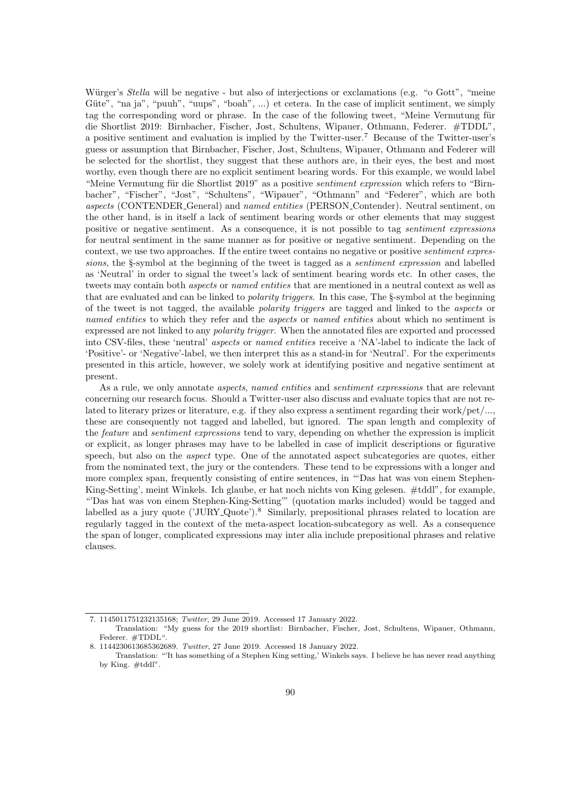Würger's *Stella* will be negative - but also of interjections or exclamations (e.g. "o Gott", "meine Güte", "na ja", "puuh", "uups", "boah", ...) et cetera. In the case of implicit sentiment, we simply tag the corresponding word or phrase. In the case of the following tweet, "Meine Vermutung für die Shortlist 2019: Birnbacher, Fischer, Jost, Schultens, Wipauer, Othmann, Federer. #TDDL", a positive sentiment and evaluation is implied by the Twitter-user.<sup>7</sup> Because of the Twitter-user's guess or assumption that Birnbacher, Fischer, Jost, Schultens, Wipauer, Othmann and Federer will be selected for the shortlist, they suggest that these authors are, in their eyes, the best and most worthy, even though there are no explicit sentiment bearing words. For this example, we would label "Meine Vermutung für die Shortlist 2019" as a positive *sentiment expression* which refers to "Birnbacher", "Fischer", "Jost", "Schultens", "Wipauer", "Othmann" and "Federer", which are both aspects (CONTENDER General) and named entities (PERSON Contender). Neutral sentiment, on the other hand, is in itself a lack of sentiment bearing words or other elements that may suggest positive or negative sentiment. As a consequence, it is not possible to tag sentiment expressions for neutral sentiment in the same manner as for positive or negative sentiment. Depending on the context, we use two approaches. If the entire tweet contains no negative or positive sentiment expressions, the §-symbol at the beginning of the tweet is tagged as a sentiment expression and labelled as 'Neutral' in order to signal the tweet's lack of sentiment bearing words etc. In other cases, the tweets may contain both *aspects* or *named entities* that are mentioned in a neutral context as well as that are evaluated and can be linked to polarity triggers. In this case, The §-symbol at the beginning of the tweet is not tagged, the available polarity triggers are tagged and linked to the aspects or named entities to which they refer and the aspects or named entities about which no sentiment is expressed are not linked to any polarity trigger. When the annotated files are exported and processed into CSV-files, these 'neutral' aspects or named entities receive a 'NA'-label to indicate the lack of 'Positive'- or 'Negative'-label, we then interpret this as a stand-in for 'Neutral'. For the experiments presented in this article, however, we solely work at identifying positive and negative sentiment at present.

As a rule, we only annotate *aspects*, *named entities* and *sentiment expressions* that are relevant concerning our research focus. Should a Twitter-user also discuss and evaluate topics that are not related to literary prizes or literature, e.g. if they also express a sentiment regarding their work/pet/..., these are consequently not tagged and labelled, but ignored. The span length and complexity of the feature and sentiment expressions tend to vary, depending on whether the expression is implicit or explicit, as longer phrases may have to be labelled in case of implicit descriptions or figurative speech, but also on the aspect type. One of the annotated aspect subcategories are quotes, either from the nominated text, the jury or the contenders. These tend to be expressions with a longer and more complex span, frequently consisting of entire sentences, in "'Das hat was von einem Stephen-King-Setting', meint Winkels. Ich glaube, er hat noch nichts von King gelesen. #tddl", for example, "'Das hat was von einem Stephen-King-Setting'" (quotation marks included) would be tagged and labelled as a jury quote ('JURY Quote').<sup>8</sup> Similarly, prepositional phrases related to location are regularly tagged in the context of the meta-aspect location-subcategory as well. As a consequence the span of longer, complicated expressions may inter alia include prepositional phrases and relative clauses.

<sup>7. 1145011751232135168;</sup> Twitter, 29 June 2019. Accessed 17 January 2022.

Translation: "My guess for the 2019 shortlist: Birnbacher, Fischer, Jost, Schultens, Wipauer, Othmann, Federer. #TDDL".

<sup>8. 1144230613685362689.</sup> Twitter, 27 June 2019. Accessed 18 January 2022.

Translation: "'It has something of a Stephen King setting,' Winkels says. I believe he has never read anything by King. #tddl".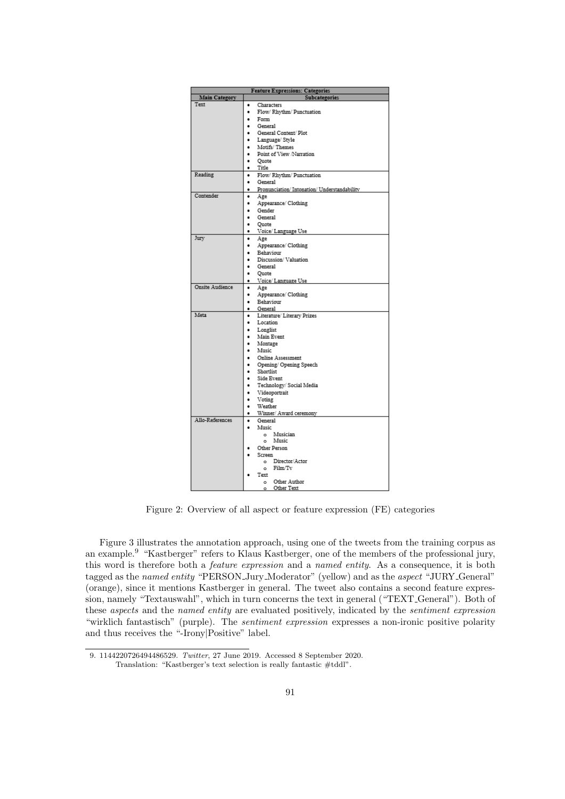| <b>Feature Expressions: Categories</b> |   |                                            |  |  |  |
|----------------------------------------|---|--------------------------------------------|--|--|--|
| <b>Main Category</b>                   |   | <b>Subcategories</b>                       |  |  |  |
| Text                                   | ٠ | Characters                                 |  |  |  |
|                                        | ٠ | Flow/Rhythm/Punctuation                    |  |  |  |
|                                        | ٠ | Form                                       |  |  |  |
|                                        | ٠ | General                                    |  |  |  |
|                                        | ٠ | General Content/ Plot                      |  |  |  |
|                                        | ٠ | Language/ Style                            |  |  |  |
|                                        | ٠ | Motifs/Themes                              |  |  |  |
|                                        | ٠ | Point of View /Narration                   |  |  |  |
|                                        | ٠ | Quote                                      |  |  |  |
|                                        | ٠ | Title                                      |  |  |  |
| Reading                                | ٠ | Flow/Rhythm/Punctuation                    |  |  |  |
|                                        | ٠ | General                                    |  |  |  |
|                                        | ٠ | Pronunciation/Intonation/Understandability |  |  |  |
| Contender                              | ٠ | Age                                        |  |  |  |
|                                        | ٠ | Appearance/ Clothing                       |  |  |  |
|                                        | ٠ | Gender                                     |  |  |  |
|                                        | ٠ | General                                    |  |  |  |
|                                        | ٠ | Quote                                      |  |  |  |
|                                        | ٠ | Voice/ Language Use                        |  |  |  |
| Jury                                   | ٠ | Age                                        |  |  |  |
|                                        | ٠ | Appearance/ Clothing                       |  |  |  |
|                                        | ٠ | Behaviour                                  |  |  |  |
|                                        | ٠ | Discussion/Valuation                       |  |  |  |
|                                        | ٠ | General                                    |  |  |  |
|                                        | ٠ | Quote                                      |  |  |  |
|                                        | ٠ | Voice/Language Use                         |  |  |  |
| Onsite Audience                        | ٠ | Age                                        |  |  |  |
|                                        | ٠ | Appearance/ Clothing                       |  |  |  |
|                                        | ٠ | Behaviour                                  |  |  |  |
|                                        | ٠ | General                                    |  |  |  |
| Meta                                   | ٠ | Literature/ Literary Prizes                |  |  |  |
|                                        | ٠ | Location                                   |  |  |  |
|                                        | ٠ | Longlist                                   |  |  |  |
|                                        | ٠ | Main Event                                 |  |  |  |
|                                        | ٠ | Montage                                    |  |  |  |
|                                        | ٠ | Music                                      |  |  |  |
|                                        | ٠ | Online Assessment                          |  |  |  |
|                                        | ٠ | Opening/ Opening Speech                    |  |  |  |
|                                        | ٠ | Shortlist                                  |  |  |  |
|                                        | ٠ | Side Event                                 |  |  |  |
|                                        | ٠ | Technology/ Social Media                   |  |  |  |
|                                        | ٠ | Videoportrait                              |  |  |  |
|                                        | ٠ | Voting                                     |  |  |  |
|                                        | ٠ | Weather                                    |  |  |  |
| Allo-References                        | ۰ | Winner/ Award ceremony                     |  |  |  |
|                                        | ٠ | General                                    |  |  |  |
|                                        | ٠ | Music<br>Musician                          |  |  |  |
|                                        |   | o.<br>Music<br>o.                          |  |  |  |
|                                        | ٠ | Other Person                               |  |  |  |
|                                        | ٠ | Screen                                     |  |  |  |
|                                        |   | Director/Actor<br>o.                       |  |  |  |
|                                        |   | Film/Tv<br>o.                              |  |  |  |
|                                        | ٠ | Text                                       |  |  |  |
|                                        |   | Other Author<br>$\sim$                     |  |  |  |
|                                        |   | o Other Text                               |  |  |  |

Figure 2: Overview of all aspect or feature expression (FE) categories

Figure 3 illustrates the annotation approach, using one of the tweets from the training corpus as an example.<sup>9</sup> "Kastberger" refers to Klaus Kastberger, one of the members of the professional jury, this word is therefore both a feature expression and a named entity. As a consequence, it is both tagged as the named entity "PERSON Jury Moderator" (yellow) and as the aspect "JURY General" (orange), since it mentions Kastberger in general. The tweet also contains a second feature expression, namely "Textauswahl", which in turn concerns the text in general ("TEXT General"). Both of these aspects and the named entity are evaluated positively, indicated by the sentiment expression "wirklich fantastisch" (purple). The sentiment expression expresses a non-ironic positive polarity and thus receives the "-Irony|Positive" label.

<sup>9. 1144220726494486529.</sup> Twitter, 27 June 2019. Accessed 8 September 2020.

Translation: "Kastberger's text selection is really fantastic #tddl".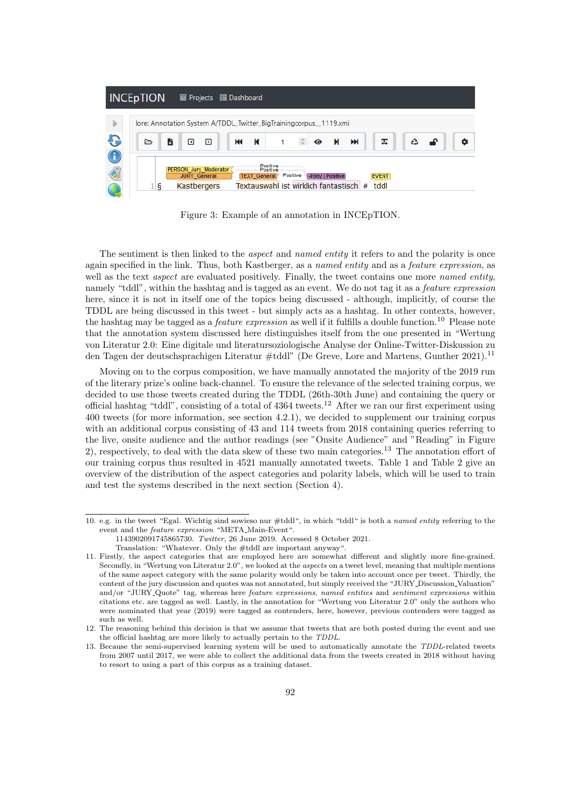

Figure 3: Example of an annotation in INCEpTION.

The sentiment is then linked to the *aspect* and *named entity* it refers to and the polarity is once again specified in the link. Thus, both Kastberger, as a named entity and as a feature expression, as well as the text *aspect* are evaluated positively. Finally, the tweet contains one more *named entity*, namely "tddl", within the hashtag and is tagged as an event. We do not tag it as a *feature expression* here, since it is not in itself one of the topics being discussed - although, implicitly, of course the TDDL are being discussed in this tweet - but simply acts as a hashtag. In other contexts, however, the hashtag may be tagged as a *feature expression* as well if it fulfills a double function.<sup>10</sup> Please note that the annotation system discussed here distinguishes itself from the one presented in "Wertung von Literatur 2.0: Eine digitale und literatursoziologische Analyse der Online-Twitter-Diskussion zu den Tagen der deutschsprachigen Literatur #tddl" (De Greve, Lore and Martens, Gunther 2021).<sup>11</sup>

Moving on to the corpus composition, we have manually annotated the majority of the 2019 run of the literary prize's online back-channel. To ensure the relevance of the selected training corpus, we decided to use those tweets created during the TDDL (26th-30th June) and containing the query or official hashtag "tddl", consisting of a total of 4364 tweets.<sup>12</sup> After we ran our first experiment using 400 tweets (for more information, see section 4.2.1), we decided to supplement our training corpus with an additional corpus consisting of 43 and 114 tweets from 2018 containing queries referring to the live, onsite audience and the author readings (see "Onsite Audience" and "Reading" in Figure 2), respectively, to deal with the data skew of these two main categories.<sup>13</sup> The annotation effort of our training corpus thus resulted in 4521 manually annotated tweets. Table 1 and Table 2 give an overview of the distribution of the aspect categories and polarity labels, which will be used to train and test the systems described in the next section (Section 4).

<sup>10.</sup> e.g. in the tweet "Egal. Wichtig sind sowieso nur #tddl", in which "tddl" is both a named entity referring to the event and the feature expression "META Main-Event".

<sup>1143902091745865730.</sup> Twitter, 26 June 2019. Accessed 8 October 2021.

Translation: "Whatever. Only the #tddl are important anyway".

<sup>11.</sup> Firstly, the aspect categories that are employed here are somewhat different and slightly more fine-grained. Secondly, in "Wertung von Literatur 2.0", we looked at the aspects on a tweet level, meaning that multiple mentions of the same aspect category with the same polarity would only be taken into account once per tweet. Thirdly, the content of the jury discussion and quotes was not annotated, but simply received the "JURY Discussion Valuation" and/or "JURY Quote" tag, whereas here feature expressions, named entities and sentiment expressions within citations etc. are tagged as well. Lastly, in the annotation for "Wertung von Literatur 2.0" only the authors who were nominated that year (2019) were tagged as contenders, here, however, previous contenders were tagged as such as well.

<sup>12.</sup> The reasoning behind this decision is that we assume that tweets that are both posted during the event and use the official hashtag are more likely to actually pertain to the TDDL.

<sup>13.</sup> Because the semi-supervised learning system will be used to automatically annotate the TDDL-related tweets from 2007 until 2017, we were able to collect the additional data from the tweets created in 2018 without having to resort to using a part of this corpus as a training dataset.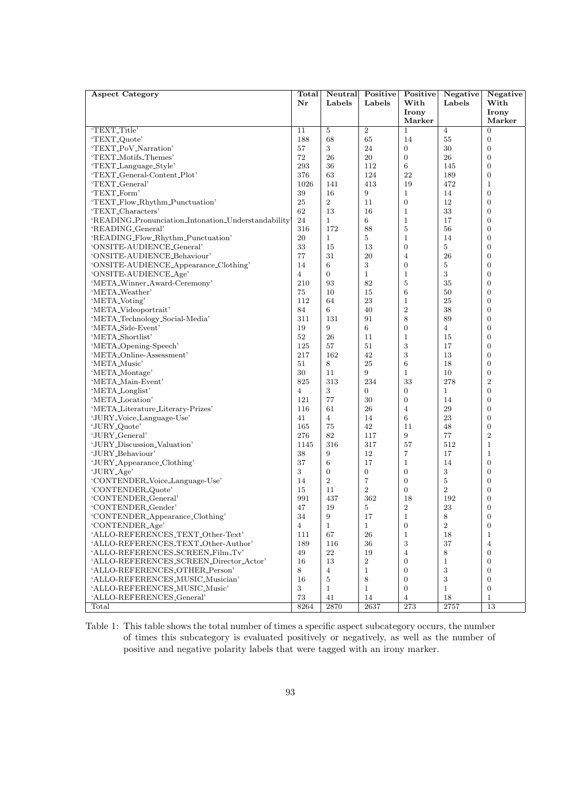| <b>Aspect Category</b>                                            | Total          | Neutral        | Positive         | Positive              | Negative       | Negative           |
|-------------------------------------------------------------------|----------------|----------------|------------------|-----------------------|----------------|--------------------|
|                                                                   | $\bf{Nr}$      | Labels         | Labels           | With                  | Labels         | With               |
|                                                                   |                |                |                  | Irony                 |                | Irony              |
|                                                                   |                |                |                  | Marker                |                | Marker             |
| 'TEXT <sub>-Title</sub> '                                         | 11             | $\overline{5}$ | $\overline{2}$   | $\mathbf{1}$          | $\overline{4}$ | $\overline{0}$     |
| 'TEXT <sub>-Quote</sub> '                                         | 188            | 68             | 65               | 14                    | 55             | $\boldsymbol{0}$   |
| 'TEXT_PoV_Narration'                                              | 57             | 3              | 24               | $\overline{0}$        | 30             | $\mathbf{0}$       |
| 'TEXT_Motifs_Themes'                                              | 72             | 26             | 20               | $\overline{0}$        | 26             | $\boldsymbol{0}$   |
| 'TEXT_Language_Style'                                             | 293            | 36             | 112              | $\,6\,$               | 145            | $\boldsymbol{0}$   |
| 'TEXT_General-Content_Plot'                                       | 376            | 63             | 124              | 22                    | 189            | $\boldsymbol{0}$   |
| 'TEXT <sub>-General</sub> '                                       | 1026           | 141            | 413              | 19                    | 472            | $\mathbf 1$        |
| 'TEXT_Form'                                                       | 39             | 16             | 9                | $\mathbf{1}$          | 14             | $\overline{0}$     |
| 'TEXT_Flow_Rhythm_Punctuation'                                    | 25             | $\overline{2}$ | 11               | $\boldsymbol{0}$      | 12             | $\mathbf{0}$       |
| 'TEXT_Characters'                                                 | 62             | 13             | 16               | $\mathbf{1}$          | 33             | $\boldsymbol{0}$   |
| 'READING_Pronunciation_Intonation_Understandability'              | 24             | $\mathbf{1}$   | 6                | $\mathbf{1}$          | 17             | $\boldsymbol{0}$   |
| 'READING_General'                                                 | 316            | 172            | 88               | $\bf 5$               | 56             | $\boldsymbol{0}$   |
| 'READING_Flow_Rhythm_Punctuation'                                 | 20             | $\mathbf{1}$   | 5                | $\mathbf{1}$          | 14             | $\boldsymbol{0}$   |
| 'ONSITE-AUDIENCE_General'                                         | 33             | 15             | 13               | $\boldsymbol{0}$      | 5              | $\boldsymbol{0}$   |
| 'ONSITE-AUDIENCE_Behaviour'                                       | 77             | 31             | 20               | $\overline{4}$        | 26             | $\boldsymbol{0}$   |
| 'ONSITE-AUDIENCE_Appearance_Clothing'                             | 14             | 6              | 3                | $\boldsymbol{0}$      | 5              | $\overline{0}$     |
| 'ONSITE-AUDIENCE_Age'                                             | $\overline{4}$ | $\overline{0}$ | $\mathbf{1}$     | $\mathbf{1}$          | 3              | $\boldsymbol{0}$   |
| 'META_Winner_Award-Ceremony'                                      | 210            | 93             | 82               | $\overline{5}$        | 35             | $\boldsymbol{0}$   |
| 'META_Weather'                                                    | 75             | 10             | 15               | $6\phantom{1}6$       | 50             | $\overline{0}$     |
| 'META_Voting'                                                     | 112            | 64             | 23               | $\mathbf{1}$          | 25             | $\boldsymbol{0}$   |
| 'META_Videoportrait'                                              | 84             | 6              | 40               | $\,2$                 | 38             | $\boldsymbol{0}$   |
| 'META_Technology_Social-Media'                                    | 311            | 131            | 91               | $\,$ 8 $\,$           | 89             | $\boldsymbol{0}$   |
| 'META_Side-Event'                                                 | 19             | 9              | 6                | $\boldsymbol{0}$      | $\overline{4}$ | $\overline{0}$     |
| 'META_Shortlist'                                                  | 52             | 26             | 11               | $\mathbf{1}$          | 15             | $\boldsymbol{0}$   |
| 'META <sub>-Opening-Speech</sub> '                                | 125            | 57             | 51               | 3                     | 17             | $\boldsymbol{0}$   |
| 'META_Online-Assessment'                                          | 217            | 162            | 42               | $\,3$                 | 13             | $\overline{0}$     |
| 'META_Music'                                                      | 51             | 8              | 25               | $6\phantom{1}6$       | 18             | $\boldsymbol{0}$   |
| 'META_Montage'                                                    | 30             | 11             | 9                | $\mathbf{1}$          | 10             | $\boldsymbol{0}$   |
| 'META_Main-Event'                                                 | 825            | 313            | 234              | 33                    | 278            | $\overline{2}$     |
| 'META_Longlist'                                                   | 4              | 3              | $\overline{0}$   | $\overline{0}$        | $\mathbf{1}$   | $\boldsymbol{0}$   |
| 'META_Location'                                                   | 121            | $77\,$         | 30               | $\overline{0}$        | 14             | $\boldsymbol{0}$   |
| 'META_Literature_Literary-Prizes'                                 | 116            | 61             | 26               | $\overline{4}$        | 29             | $\boldsymbol{0}$   |
| 'JURY_Voice_Language-Use'                                         | 41             | $\overline{4}$ | 14               | 6                     | 23             | $\boldsymbol{0}$   |
| 'JURY_Quote'                                                      | 165            | 75             | 42               | 11                    | 48             | $\boldsymbol{0}$   |
| 'JURY_General'                                                    | 276            | 82             | 117              | 9                     | 77             | $\boldsymbol{2}$   |
| 'JURY_Discussion_Valuation'                                       | 1145           | 316            | 317              | 57                    | 512            | $\mathbf{1}$       |
| 'JURY_Behaviour'                                                  | 38             | 9              | 12               | $\overline{7}$        | 17             | $\mathbf{1}$       |
| 'JURY_Appearance_Clothing'                                        | 37             | $\,6$          | 17               | $\mathbf{1}$          | 14             | $\mathbf{0}$       |
| 'JURY_Age'                                                        | 3              | $\overline{0}$ | $\overline{0}$   | $\boldsymbol{0}$      | 3              | $\boldsymbol{0}$   |
| 'CONTENDER_Voice_Language-Use'                                    | 14             | $\overline{2}$ | 7                | $\boldsymbol{0}$      | $\overline{5}$ | $\boldsymbol{0}$   |
| 'CONTENDER <sub>-Quote</sub> '                                    | 15             | 11             | $\overline{2}$   | $\overline{0}$        | $\overline{2}$ | $\boldsymbol{0}$   |
| 'CONTENDER_General'                                               | 991            | 437            | 362              | 18                    | 192            | $\overline{0}$     |
| 'CONTENDER_Gender'                                                | 47             | 19             | 5                | $\boldsymbol{2}$      | 23             | $\boldsymbol{0}$   |
| 'CONTENDER_Appearance_Clothing'                                   | 34             | 9              | 17               | 1                     | 8              | $\boldsymbol{0}$   |
| 'CONTENDER_Age'                                                   | $\overline{4}$ | $\mathbf{1}$   | $\mathbf{1}$     | $\boldsymbol{0}$      | $\overline{2}$ | $\boldsymbol{0}$   |
| 'ALLO-REFERENCES_TEXT_Other-Text'                                 | 111            | 67             | 26               | $\mathbf{1}$          | 18             | $\mathbf{1}$       |
| 'ALLO-REFERENCES_TEXT_Other-Author'                               | 189            | 116            | 36               | $\sqrt{3}$            | $37\,$         | $\overline{4}$     |
| 'ALLO-REFERENCES_SCREEN_Film_Tv'                                  | 49             | 22             | 19               | $\overline{4}$        | 8              | $\mathbf{0}$       |
| 'ALLO-REFERENCES_SCREEN_Director_Actor'                           | 16             | 13             | $\boldsymbol{2}$ | $\boldsymbol{0}$      | $\mathbf{1}$   | $\mathbf{0}$       |
| 'ALLO-REFERENCES_OTHER_Person'                                    | 8              | $\overline{4}$ | $\mathbf{1}$     | $\boldsymbol{0}$      | $\sqrt{3}$     | $\boldsymbol{0}$   |
|                                                                   | 16             | 5              | 8                | $\overline{0}$        | 3              | $\mathbf{0}$       |
| 'ALLO-REFERENCES_MUSIC_Musician'<br>'ALLO-REFERENCES_MUSIC_Music' | 3              | $\mathbf{1}$   | $\mathbf{1}$     | $\overline{0}$        | $\mathbf{1}$   | $\mathbf{0}$       |
| 'ALLO-REFERENCES <sub>-General</sub> '                            | $73\,$         | 41             |                  |                       |                |                    |
| Total                                                             | 8264           | 2870           | 14<br>2637       | $\overline{4}$<br>273 | 18<br>2757     | $\mathbf{1}$<br>13 |
|                                                                   |                |                |                  |                       |                |                    |

Table 1: This table shows the total number of times a specific aspect subcategory occurs, the number of times this subcategory is evaluated positively or negatively, as well as the number of positive and negative polarity labels that were tagged with an irony marker.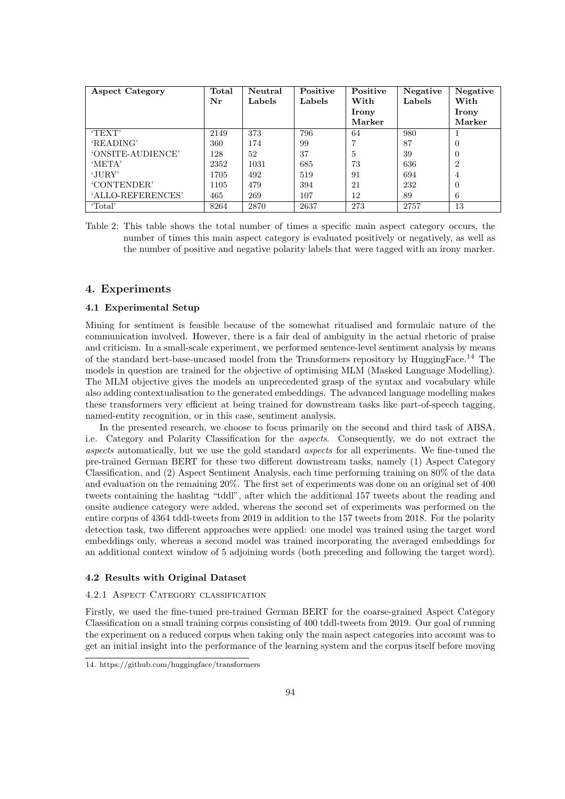| <b>Aspect Category</b> | Total | Neutral | Positive | Positive | Negative | Negative       |
|------------------------|-------|---------|----------|----------|----------|----------------|
|                        | Nr    | Labels  | Labels   | With     | Labels   | With           |
|                        |       |         |          | Irony    |          | Irony          |
|                        |       |         |          | Marker   |          | Marker         |
| 'TEXT'                 | 2149  | 373     | 796      | 64       | 980      |                |
| 'READING'              | 360   | 174     | 99       |          | 87       | $\Omega$       |
| 'ONSITE-AUDIENCE'      | 128   | 52      | 37       | 5        | 39       | $\Omega$       |
| 'META'                 | 2352  | 1031    | 685      | 73       | 636      | $\overline{2}$ |
| 'JURY'                 | 1705  | 492     | 519      | 91       | 694      | 4              |
| 'CONTENDER'            | 1105  | 479     | 394      | 21       | 232      | $\Omega$       |
| 'ALLO-REFERENCES'      | 465   | 269     | 107      | 12       | 89       | 6              |
| 'Total'                | 8264  | 2870    | 2637     | 273      | 2757     | 13             |

Table 2: This table shows the total number of times a specific main aspect category occurs, the number of times this main aspect category is evaluated positively or negatively, as well as the number of positive and negative polarity labels that were tagged with an irony marker.

# 4. Experiments

## 4.1 Experimental Setup

Mining for sentiment is feasible because of the somewhat ritualised and formulaic nature of the communication involved. However, there is a fair deal of ambiguity in the actual rhetoric of praise and criticism. In a small-scale experiment, we performed sentence-level sentiment analysis by means of the standard bert-base-uncased model from the Transformers repository by HuggingFace.<sup>14</sup> The models in question are trained for the objective of optimising MLM (Masked Language Modelling). The MLM objective gives the models an unprecedented grasp of the syntax and vocabulary while also adding contextualisation to the generated embeddings. The advanced language modelling makes these transformers very efficient at being trained for downstream tasks like part-of-speech tagging, named-entity recognition, or in this case, sentiment analysis.

In the presented research, we choose to focus primarily on the second and third task of ABSA, i.e. Category and Polarity Classification for the aspects. Consequently, we do not extract the aspects automatically, but we use the gold standard aspects for all experiments. We fine-tuned the pre-trained German BERT for these two different downstream tasks, namely (1) Aspect Category Classification, and (2) Aspect Sentiment Analysis, each time performing training on 80% of the data and evaluation on the remaining 20%. The first set of experiments was done on an original set of 400 tweets containing the hashtag "tddl", after which the additional 157 tweets about the reading and onsite audience category were added, whereas the second set of experiments was performed on the entire corpus of 4364 tddl-tweets from 2019 in addition to the 157 tweets from 2018. For the polarity detection task, two different approaches were applied: one model was trained using the target word embeddings only, whereas a second model was trained incorporating the averaged embeddings for an additional context window of 5 adjoining words (both preceding and following the target word).

#### 4.2 Results with Original Dataset

#### 4.2.1 Aspect Category classification

Firstly, we used the fine-tuned pre-trained German BERT for the coarse-grained Aspect Category Classification on a small training corpus consisting of 400 tddl-tweets from 2019. Our goal of running the experiment on a reduced corpus when taking only the main aspect categories into account was to get an initial insight into the performance of the learning system and the corpus itself before moving

<sup>14.</sup> https://github.com/huggingface/transformers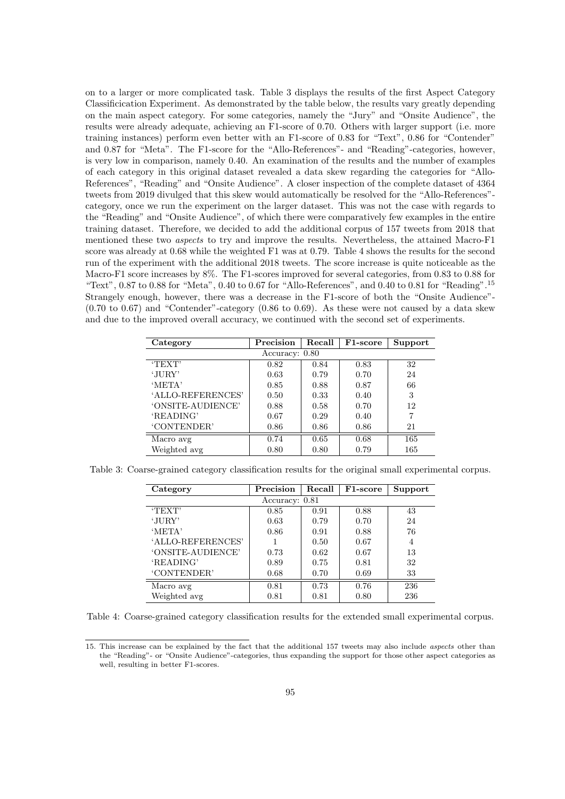on to a larger or more complicated task. Table 3 displays the results of the first Aspect Category Classificication Experiment. As demonstrated by the table below, the results vary greatly depending on the main aspect category. For some categories, namely the "Jury" and "Onsite Audience", the results were already adequate, achieving an F1-score of 0.70. Others with larger support (i.e. more training instances) perform even better with an F1-score of 0.83 for "Text", 0.86 for "Contender" and 0.87 for "Meta". The F1-score for the "Allo-References"- and "Reading"-categories, however, is very low in comparison, namely 0.40. An examination of the results and the number of examples of each category in this original dataset revealed a data skew regarding the categories for "Allo-References", "Reading" and "Onsite Audience". A closer inspection of the complete dataset of 4364 tweets from 2019 divulged that this skew would automatically be resolved for the "Allo-References" category, once we run the experiment on the larger dataset. This was not the case with regards to the "Reading" and "Onsite Audience", of which there were comparatively few examples in the entire training dataset. Therefore, we decided to add the additional corpus of 157 tweets from 2018 that mentioned these two aspects to try and improve the results. Nevertheless, the attained Macro-F1 score was already at 0.68 while the weighted F1 was at 0.79. Table 4 shows the results for the second run of the experiment with the additional 2018 tweets. The score increase is quite noticeable as the Macro-F1 score increases by 8%. The F1-scores improved for several categories, from 0.83 to 0.88 for "Text",  $0.87$  to  $0.88$  for "Meta",  $0.40$  to  $0.67$  for "Allo-References", and  $0.40$  to  $0.81$  for "Reading".<sup>15</sup> Strangely enough, however, there was a decrease in the F1-score of both the "Onsite Audience"-  $(0.70 \text{ to } 0.67)$  and "Contender"-category  $(0.86 \text{ to } 0.69)$ . As these were not caused by a data skew and due to the improved overall accuracy, we continued with the second set of experiments.

| Category          | Precision | Recall | F <sub>1</sub> -score | Support |  |  |  |
|-------------------|-----------|--------|-----------------------|---------|--|--|--|
| Accuracy: 0.80    |           |        |                       |         |  |  |  |
| 'TEXT'            | 0.82      | 0.84   | 0.83                  | 32      |  |  |  |
| 'JURY'            | 0.63      | 0.79   | 0.70                  | 24      |  |  |  |
| 'META'            | 0.85      | 0.88   | 0.87                  | 66      |  |  |  |
| 'ALLO-REFERENCES' | 0.50      | 0.33   | 0.40                  | 3       |  |  |  |
| 'ONSITE-AUDIENCE' | 0.88      | 0.58   | 0.70                  | 12      |  |  |  |
| 'READING'         | 0.67      | 0.29   | 0.40                  | 7       |  |  |  |
| 'CONTENDER'       | 0.86      | 0.86   | 0.86                  | 21      |  |  |  |
| Macro avg         | 0.74      | 0.65   | 0.68                  | 165     |  |  |  |
| Weighted avg      | 0.80      | 0.80   | 0.79                  | 165     |  |  |  |

Table 3: Coarse-grained category classification results for the original small experimental corpus.

| Category          | Precision | Recall | F1-score | Support |  |  |  |
|-------------------|-----------|--------|----------|---------|--|--|--|
| Accuracy: 0.81    |           |        |          |         |  |  |  |
| TEXT              | 0.85      | 0.91   | 0.88     | 43      |  |  |  |
| 'JURY'            | 0.63      | 0.79   | 0.70     | 24      |  |  |  |
| 'META'            | 0.86      | 0.91   | 0.88     | 76      |  |  |  |
| 'ALLO-REFERENCES' |           | 0.50   | 0.67     | 4       |  |  |  |
| 'ONSITE-AUDIENCE' | 0.73      | 0.62   | 0.67     | 13      |  |  |  |
| 'READING'         | 0.89      | 0.75   | 0.81     | 32      |  |  |  |
| 'CONTENDER'       | 0.68      | 0.70   | 0.69     | 33      |  |  |  |
| Macro avg         | 0.81      | 0.73   | 0.76     | 236     |  |  |  |
| Weighted avg      | 0.81      | 0.81   | 0.80     | 236     |  |  |  |

Table 4: Coarse-grained category classification results for the extended small experimental corpus.

<sup>15.</sup> This increase can be explained by the fact that the additional 157 tweets may also include aspects other than the "Reading"- or "Onsite Audience"-categories, thus expanding the support for those other aspect categories as well, resulting in better F1-scores.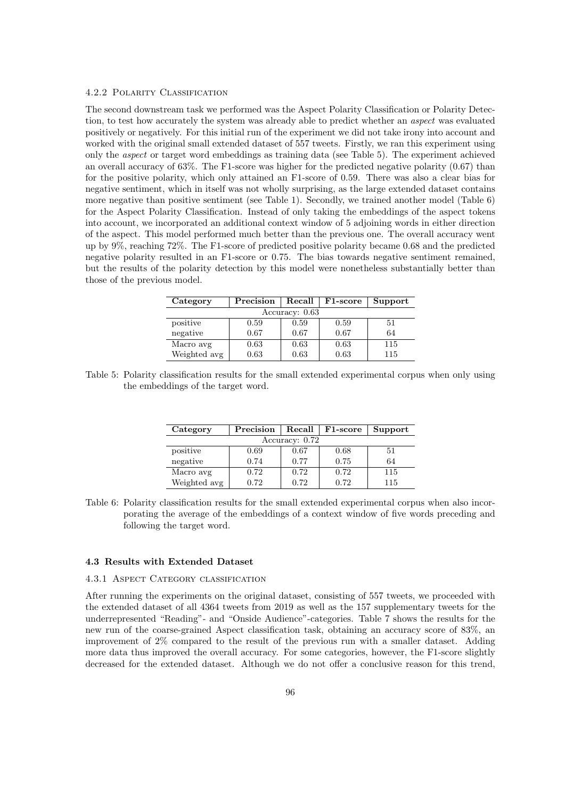#### 4.2.2 Polarity Classification

The second downstream task we performed was the Aspect Polarity Classification or Polarity Detection, to test how accurately the system was already able to predict whether an aspect was evaluated positively or negatively. For this initial run of the experiment we did not take irony into account and worked with the original small extended dataset of 557 tweets. Firstly, we ran this experiment using only the aspect or target word embeddings as training data (see Table 5). The experiment achieved an overall accuracy of 63%. The F1-score was higher for the predicted negative polarity (0.67) than for the positive polarity, which only attained an F1-score of 0.59. There was also a clear bias for negative sentiment, which in itself was not wholly surprising, as the large extended dataset contains more negative than positive sentiment (see Table 1). Secondly, we trained another model (Table 6) for the Aspect Polarity Classification. Instead of only taking the embeddings of the aspect tokens into account, we incorporated an additional context window of 5 adjoining words in either direction of the aspect. This model performed much better than the previous one. The overall accuracy went up by 9%, reaching 72%. The F1-score of predicted positive polarity became 0.68 and the predicted negative polarity resulted in an F1-score or 0.75. The bias towards negative sentiment remained, but the results of the polarity detection by this model were nonetheless substantially better than those of the previous model.

| Category       | Precision | Recall | F <sub>1</sub> -score | Support |  |  |  |
|----------------|-----------|--------|-----------------------|---------|--|--|--|
| Accuracy: 0.63 |           |        |                       |         |  |  |  |
| positive       | 0.59      | 0.59   | 0.59                  | 51      |  |  |  |
| negative       | 0.67      | 0.67   | 0.67                  | 64      |  |  |  |
| Macro avg      | 0.63      | 0.63   | 0.63                  | 115     |  |  |  |
| Weighted avg   | 0.63      | 0.63   | 0.63                  | 115     |  |  |  |

Table 5: Polarity classification results for the small extended experimental corpus when only using the embeddings of the target word.

| Category       | Precision | Recall | F <sub>1</sub> -score | Support |  |  |  |  |
|----------------|-----------|--------|-----------------------|---------|--|--|--|--|
| Accuracy: 0.72 |           |        |                       |         |  |  |  |  |
| positive       | 0.69      | 0.67   | 0.68                  | 51      |  |  |  |  |
| negative       | 0.74      | 0.77   | 0.75                  | 64      |  |  |  |  |
| Macro avg      | 0.72      | 0.72   | 0.72                  | 115     |  |  |  |  |
| Weighted avg   | 0.72      | 0.72   | 0.72                  | 115     |  |  |  |  |

Table 6: Polarity classification results for the small extended experimental corpus when also incorporating the average of the embeddings of a context window of five words preceding and following the target word.

#### 4.3 Results with Extended Dataset

#### 4.3.1 Aspect Category classification

After running the experiments on the original dataset, consisting of 557 tweets, we proceeded with the extended dataset of all 4364 tweets from 2019 as well as the 157 supplementary tweets for the underrepresented "Reading"- and "Onside Audience"-categories. Table 7 shows the results for the new run of the coarse-grained Aspect classification task, obtaining an accuracy score of 83%, an improvement of 2% compared to the result of the previous run with a smaller dataset. Adding more data thus improved the overall accuracy. For some categories, however, the F1-score slightly decreased for the extended dataset. Although we do not offer a conclusive reason for this trend,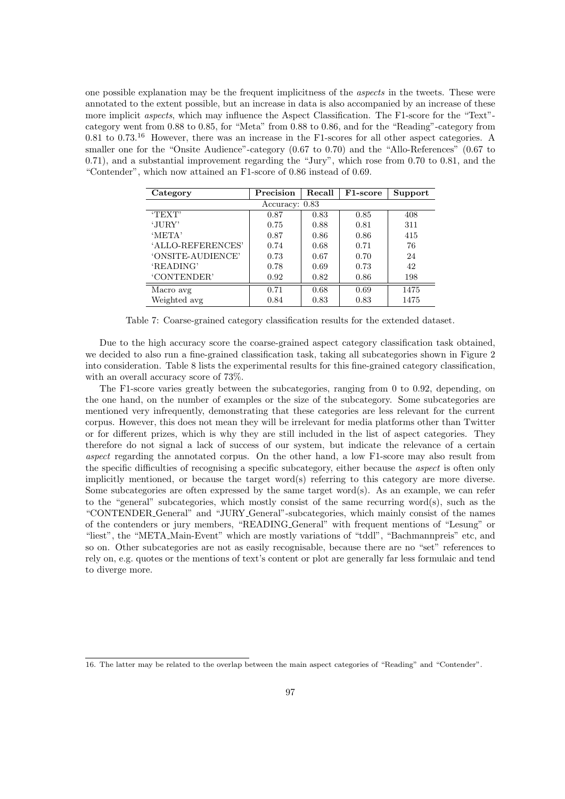one possible explanation may be the frequent implicitness of the aspects in the tweets. These were annotated to the extent possible, but an increase in data is also accompanied by an increase of these more implicit aspects, which may influence the Aspect Classification. The F1-score for the "Text" category went from 0.88 to 0.85, for "Meta" from 0.88 to 0.86, and for the "Reading"-category from 0.81 to 0.73.<sup>16</sup> However, there was an increase in the F1-scores for all other aspect categories. A smaller one for the "Onsite Audience"-category (0.67 to 0.70) and the "Allo-References" (0.67 to 0.71), and a substantial improvement regarding the "Jury", which rose from 0.70 to 0.81, and the "Contender", which now attained an F1-score of 0.86 instead of 0.69.

| Category          | Precision | Recall | F <sub>1</sub> -score | Support |  |  |  |
|-------------------|-----------|--------|-----------------------|---------|--|--|--|
| Accuracy: 0.83    |           |        |                       |         |  |  |  |
| TEXT              | 0.87      | 0.83   | 0.85                  | 408     |  |  |  |
| 'JURY'            | 0.75      | 0.88   | 0.81                  | 311     |  |  |  |
| 'META'            | 0.87      | 0.86   | 0.86                  | 415     |  |  |  |
| 'ALLO-REFERENCES' | 0.74      | 0.68   | 0.71                  | 76      |  |  |  |
| 'ONSITE-AUDIENCE' | 0.73      | 0.67   | 0.70                  | 24      |  |  |  |
| 'READING'         | 0.78      | 0.69   | 0.73                  | 42      |  |  |  |
| 'CONTENDER'       | 0.92      | 0.82   | 0.86                  | 198     |  |  |  |
| Macro avg         | 0.71      | 0.68   | 0.69                  | 1475    |  |  |  |
| Weighted avg      | 0.84      | 0.83   | 0.83                  | 1475    |  |  |  |

Table 7: Coarse-grained category classification results for the extended dataset.

Due to the high accuracy score the coarse-grained aspect category classification task obtained, we decided to also run a fine-grained classification task, taking all subcategories shown in Figure 2 into consideration. Table 8 lists the experimental results for this fine-grained category classification, with an overall accuracy score of 73%.

The F1-score varies greatly between the subcategories, ranging from 0 to 0.92, depending, on the one hand, on the number of examples or the size of the subcategory. Some subcategories are mentioned very infrequently, demonstrating that these categories are less relevant for the current corpus. However, this does not mean they will be irrelevant for media platforms other than Twitter or for different prizes, which is why they are still included in the list of aspect categories. They therefore do not signal a lack of success of our system, but indicate the relevance of a certain aspect regarding the annotated corpus. On the other hand, a low F1-score may also result from the specific difficulties of recognising a specific subcategory, either because the aspect is often only implicitly mentioned, or because the target word(s) referring to this category are more diverse. Some subcategories are often expressed by the same target word(s). As an example, we can refer to the "general" subcategories, which mostly consist of the same recurring word(s), such as the "CONTENDER General" and "JURY General"-subcategories, which mainly consist of the names of the contenders or jury members, "READING General" with frequent mentions of "Lesung" or "liest", the "META Main-Event" which are mostly variations of "tddl", "Bachmannpreis" etc, and so on. Other subcategories are not as easily recognisable, because there are no "set" references to rely on, e.g. quotes or the mentions of text's content or plot are generally far less formulaic and tend to diverge more.

<sup>16.</sup> The latter may be related to the overlap between the main aspect categories of "Reading" and "Contender".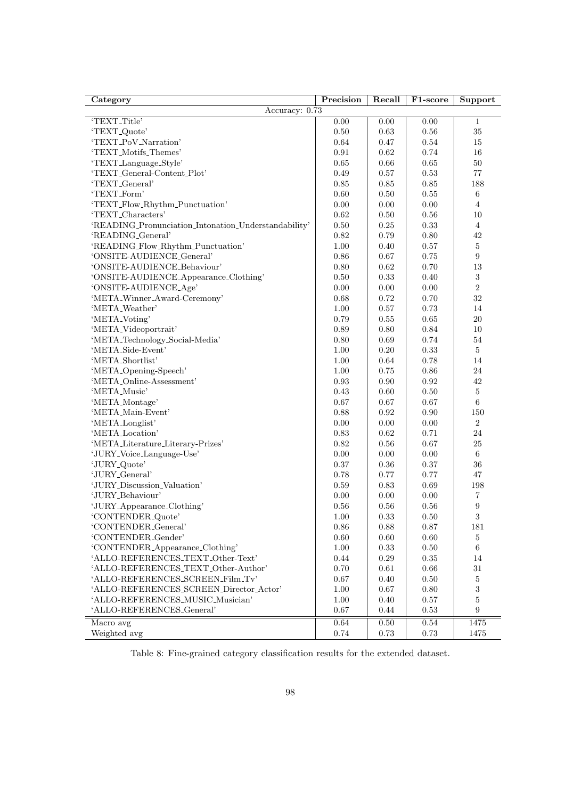| Category                                             | Precision    | Recall       | F1-score     | Support          |
|------------------------------------------------------|--------------|--------------|--------------|------------------|
| Accuracy: $0.73$                                     |              |              |              |                  |
| 'TEXT_Title'                                         | 0.00         | 0.00         | 0.00         | $\mathbf{1}$     |
| 'TEXT <sub>-Quote</sub> '                            | 0.50         | 0.63         | 0.56         | 35               |
| 'TEXT_PoV_Narration'                                 | 0.64         | 0.47         | 0.54         | 15               |
| 'TEXT_Motifs_Themes'                                 | 0.91         | 0.62         | 0.74         | 16               |
| 'TEXT_Language_Style'                                | 0.65         | 0.66         | 0.65         | 50               |
| 'TEXT_General-Content_Plot'                          | 0.49         | 0.57         | 0.53         | $77\,$           |
| 'TEXT_General'                                       | 0.85         | 0.85         | 0.85         | 188              |
| 'TEXT_Form'                                          | 0.60         | 0.50         | 0.55         | 6                |
| 'TEXT_Flow_Rhythm_Punctuation'                       | 0.00         | 0.00         | 0.00         | $\overline{4}$   |
| 'TEXT_Characters'                                    | 0.62         | 0.50         | 0.56         | 10               |
| 'READING_Pronunciation_Intonation_Understandability' | 0.50         | 0.25         | 0.33         | $\overline{4}$   |
| 'READING_General'                                    | 0.82         | 0.79         | 0.80         | 42               |
| 'READING_Flow_Rhythm_Punctuation'                    | 1.00         | 0.40         | 0.57         | $\bf 5$          |
| 'ONSITE-AUDIENCE_General'                            | 0.86         | 0.67         | 0.75         | $\boldsymbol{9}$ |
| 'ONSITE-AUDIENCE_Behaviour'                          | 0.80         | 0.62         | 0.70         | 13               |
| 'ONSITE-AUDIENCE_Appearance_Clothing'                | 0.50         | 0.33         | 0.40         | $\sqrt{3}$       |
| 'ONSITE-AUDIENCE_Age'                                | 0.00         | 0.00         | 0.00         | $\sqrt{2}$       |
| 'META_Winner_Award-Ceremony'                         | 0.68         | 0.72         | 0.70         | 32               |
| 'META_Weather'                                       | 1.00         | 0.57         | 0.73         | 14               |
| 'META_Voting'                                        | 0.79         | 0.55         | 0.65         | $20\,$           |
| 'META <sub>-</sub> Videoportrait'                    | 0.89         | 0.80         | 0.84         | 10               |
| 'META_Technology_Social-Media'                       | 0.80         | 0.69         | 0.74         | 54               |
| 'META_Side-Event'                                    | 1.00         | 0.20         | 0.33         | $\bf 5$          |
| 'META_Shortlist'                                     | 1.00         | 0.64         | 0.78         | 14               |
|                                                      |              | 0.75         |              | 24               |
| 'META_Opening-Speech'<br>'META_Online-Assessment'    | 1.00         |              | 0.86         | 42               |
| 'META_Music'                                         | 0.93<br>0.43 | 0.90<br>0.60 | 0.92<br>0.50 | $\bf 5$          |
|                                                      | 0.67         | 0.67         | 0.67         | 6                |
| 'META_Montage'                                       |              |              |              |                  |
| 'META_Main-Event'                                    | 0.88         | 0.92         | 0.90         | 150              |
| 'META_Longlist'                                      | 0.00         | 0.00         | 0.00         | $\sqrt{2}$       |
| 'META_Location'                                      | 0.83         | 0.62         | 0.71         | 24               |
| 'META_Literature_Literary-Prizes'                    | 0.82         | 0.56         | 0.67         | $25\,$           |
| 'JURY_Voice_Language-Use'                            | 0.00         | 0.00         | 0.00         | $\,6$            |
| 'JURY_Quote'                                         | 0.37         | 0.36         | 0.37         | 36               |
| 'JURY_General'                                       | 0.78         | 0.77         | 0.77         | 47               |
| 'JURY_Discussion_Valuation'                          | 0.59         | 0.83         | 0.69         | 198              |
| 'JURY_Behaviour'                                     | 0.00         | 0.00         | 0.00         | 7                |
| 'JURY_Appearance_Clothing'                           | 0.56         | 0.56         | 0.56         | $\boldsymbol{9}$ |
| 'CONTENDER_Quote'                                    | $1.00\,$     | $\rm 0.33$   | $0.50\,$     | $\,3$            |
| 'CONTENDER_General'                                  | 0.86         | 0.88         | 0.87         | 181              |
| 'CONTENDER_Gender'                                   | 0.60         | 0.60         | 0.60         | $\bf 5$          |
| 'CONTENDER_Appearance_Clothing'                      | 1.00         | 0.33         | 0.50         | $\,6$            |
| 'ALLO-REFERENCES_TEXT_Other-Text'                    | 0.44         | 0.29         | 0.35         | 14               |
| 'ALLO-REFERENCES_TEXT_Other-Author'                  | 0.70         | 0.61         | 0.66         | 31               |
| 'ALLO-REFERENCES_SCREEN_Film_Tv'                     | 0.67         | 0.40         | 0.50         | $\bf 5$          |
| 'ALLO-REFERENCES_SCREEN_Director_Actor'              | 1.00         | 0.67         | 0.80         | $\sqrt{3}$       |
| 'ALLO-REFERENCES_MUSIC_Musician'                     | 1.00         | 0.40         | 0.57         | $\mathbf 5$      |
| 'ALLO-REFERENCES_General'                            | 0.67         | 0.44         | 0.53         | $\boldsymbol{9}$ |
| Macro avg                                            | 0.64         | 0.50         | 0.54         | 1475             |
| Weighted avg                                         | 0.74         | 0.73         | 0.73         | $1475\,$         |

Table 8: Fine-grained category classification results for the extended dataset.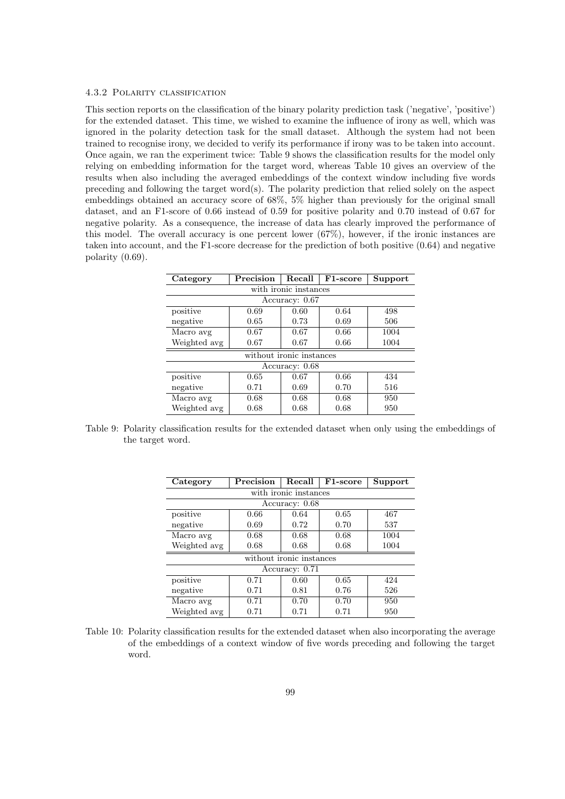#### 4.3.2 Polarity classification

This section reports on the classification of the binary polarity prediction task ('negative', 'positive') for the extended dataset. This time, we wished to examine the influence of irony as well, which was ignored in the polarity detection task for the small dataset. Although the system had not been trained to recognise irony, we decided to verify its performance if irony was to be taken into account. Once again, we ran the experiment twice: Table 9 shows the classification results for the model only relying on embedding information for the target word, whereas Table 10 gives an overview of the results when also including the averaged embeddings of the context window including five words preceding and following the target word(s). The polarity prediction that relied solely on the aspect embeddings obtained an accuracy score of 68%, 5% higher than previously for the original small dataset, and an F1-score of 0.66 instead of 0.59 for positive polarity and 0.70 instead of 0.67 for negative polarity. As a consequence, the increase of data has clearly improved the performance of this model. The overall accuracy is one percent lower (67%), however, if the ironic instances are taken into account, and the F1-score decrease for the prediction of both positive (0.64) and negative polarity (0.69).

| Category              | Precision | Recall                   | F <sub>1</sub> -score | Support |  |  |  |
|-----------------------|-----------|--------------------------|-----------------------|---------|--|--|--|
| with ironic instances |           |                          |                       |         |  |  |  |
|                       |           | Accuracy: 0.67           |                       |         |  |  |  |
| positive              | 498       |                          |                       |         |  |  |  |
| negative              | 0.65      | 0.73                     | 0.69                  | 506     |  |  |  |
| Macro avg             | 0.67      | 0.67                     | 0.66                  | 1004    |  |  |  |
| Weighted avg          | 0.67      | 0.67                     | 0.66                  | 1004    |  |  |  |
|                       |           | without ironic instances |                       |         |  |  |  |
|                       |           | Accuracy: 0.68           |                       |         |  |  |  |
| positive              | 0.65      | 0.67                     | 0.66                  | 434     |  |  |  |
| negative              | 0.71      | 0.69                     | 0.70                  | 516     |  |  |  |
| Macro avg             | 0.68      | 0.68                     | 0.68                  | 950     |  |  |  |
| Weighted avg          | 0.68      | 0.68                     | 0.68                  | 950     |  |  |  |

Table 9: Polarity classification results for the extended dataset when only using the embeddings of the target word.

| Category              | Precision | Recall                   | F1-score | Support |  |  |  |
|-----------------------|-----------|--------------------------|----------|---------|--|--|--|
| with ironic instances |           |                          |          |         |  |  |  |
|                       |           | Accuracy: 0.68           |          |         |  |  |  |
| positive              | 0.66      | 0.64                     | 0.65     | 467     |  |  |  |
| negative              | 0.69      | 0.72                     | 0.70     | 537     |  |  |  |
| Macro avg             | 0.68      | 0.68                     | 0.68     | 1004    |  |  |  |
| Weighted avg          | 0.68      | 0.68                     | 0.68     | 1004    |  |  |  |
|                       |           | without ironic instances |          |         |  |  |  |
| Accuracy: 0.71        |           |                          |          |         |  |  |  |
| positive              | 0.71      | 0.60                     | 0.65     | 424     |  |  |  |
| negative              | 0.71      | 0.81                     | 0.76     | 526     |  |  |  |
| Macro avg             | 0.71      | 0.70                     | 0.70     | 950     |  |  |  |
| Weighted avg          | 0.71      | 0.71                     | 0.71     | 950     |  |  |  |

Table 10: Polarity classification results for the extended dataset when also incorporating the average of the embeddings of a context window of five words preceding and following the target word.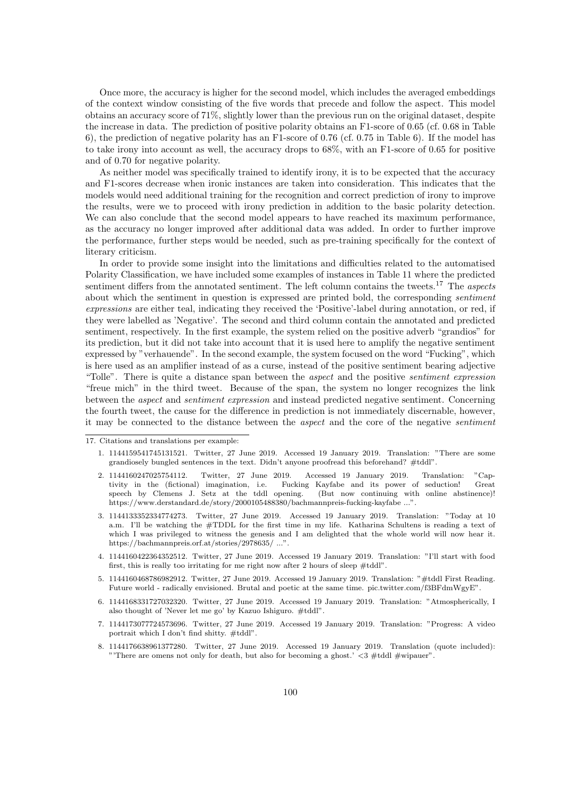Once more, the accuracy is higher for the second model, which includes the averaged embeddings of the context window consisting of the five words that precede and follow the aspect. This model obtains an accuracy score of 71%, slightly lower than the previous run on the original dataset, despite the increase in data. The prediction of positive polarity obtains an F1-score of 0.65 (cf. 0.68 in Table 6), the prediction of negative polarity has an F1-score of 0.76 (cf. 0.75 in Table 6). If the model has to take irony into account as well, the accuracy drops to 68%, with an F1-score of 0.65 for positive and of 0.70 for negative polarity.

As neither model was specifically trained to identify irony, it is to be expected that the accuracy and F1-scores decrease when ironic instances are taken into consideration. This indicates that the models would need additional training for the recognition and correct prediction of irony to improve the results, were we to proceed with irony prediction in addition to the basic polarity detection. We can also conclude that the second model appears to have reached its maximum performance, as the accuracy no longer improved after additional data was added. In order to further improve the performance, further steps would be needed, such as pre-training specifically for the context of literary criticism.

In order to provide some insight into the limitations and difficulties related to the automatised Polarity Classification, we have included some examples of instances in Table 11 where the predicted sentiment differs from the annotated sentiment. The left column contains the tweets.<sup>17</sup> The aspects about which the sentiment in question is expressed are printed bold, the corresponding sentiment expressions are either teal, indicating they received the 'Positive'-label during annotation, or red, if they were labelled as 'Negative'. The second and third column contain the annotated and predicted sentiment, respectively. In the first example, the system relied on the positive adverb "grandios" for its prediction, but it did not take into account that it is used here to amplify the negative sentiment expressed by "verhauende". In the second example, the system focused on the word "Fucking", which is here used as an amplifier instead of as a curse, instead of the positive sentiment bearing adjective "Tolle". There is quite a distance span between the aspect and the positive sentiment expression "freue mich" in the third tweet. Because of the span, the system no longer recognizes the link between the aspect and sentiment expression and instead predicted negative sentiment. Concerning the fourth tweet, the cause for the difference in prediction is not immediately discernable, however, it may be connected to the distance between the aspect and the core of the negative sentiment

- 1. 1144159541745131521. Twitter, 27 June 2019. Accessed 19 January 2019. Translation: "There are some grandiosely bungled sentences in the text. Didn't anyone proofread this beforehand? #tddl".
- 2. 1144160247025754112. Twitter, 27 June 2019. Accessed 19 January 2019. Translation: "Cap-Fucking Kayfabe and its power of seduction! Great speech by Clemens J. Setz at the tddl opening. (But now continuing with online abstinence)! https://www.derstandard.de/story/2000105488380/bachmannpreis-fucking-kayfabe ...".
- 3. 1144133352334774273. Twitter, 27 June 2019. Accessed 19 January 2019. Translation: "Today at 10 a.m. I'll be watching the #TDDL for the first time in my life. Katharina Schultens is reading a text of which I was privileged to witness the genesis and I am delighted that the whole world will now hear it. https://bachmannpreis.orf.at/stories/2978635/ ...".
- 4. 1144160422364352512. Twitter, 27 June 2019. Accessed 19 January 2019. Translation: "I'll start with food first, this is really too irritating for me right now after 2 hours of sleep #tddl".
- 5. 1144160468786982912. Twitter, 27 June 2019. Accessed 19 January 2019. Translation: "#tddl First Reading. Future world - radically envisioned. Brutal and poetic at the same time. pic.twitter.com/f3BFdmWgyE".
- 6. 1144168331727032320. Twitter, 27 June 2019. Accessed 19 January 2019. Translation: "Atmospherically, I also thought of 'Never let me go' by Kazuo Ishiguro. #tddl".
- 7. 1144173077724573696. Twitter, 27 June 2019. Accessed 19 January 2019. Translation: "Progress: A video portrait which I don't find shitty. #tddl".
- 8. 1144176638961377280. Twitter, 27 June 2019. Accessed 19 January 2019. Translation (quote included): "There are omens not only for death, but also for becoming a ghost.'  $\langle 3 \text{ #tddl #wipauer"}.$

<sup>17.</sup> Citations and translations per example: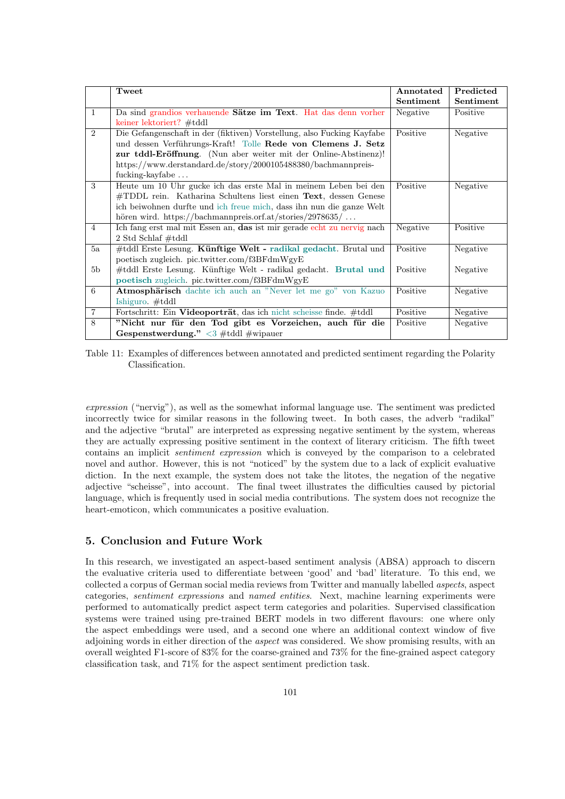|                | Tweet                                                                     | Annotated | Predicted |
|----------------|---------------------------------------------------------------------------|-----------|-----------|
|                |                                                                           | Sentiment | Sentiment |
| $\mathbf{1}$   | Da sind grandios verhauende Sätze im Text. Hat das denn vorher            | Negative  | Positive  |
|                | keiner lektoriert? #tddl                                                  |           |           |
| $\overline{2}$ | Die Gefangenschaft in der (fiktiven) Vorstellung, also Fucking Kayfabe    | Positive  | Negative  |
|                | und dessen Verführungs-Kraft! Tolle Rede von Clemens J. Setz              |           |           |
|                | zur tddl-Eröffnung. (Nun aber weiter mit der Online-Abstinenz)!           |           |           |
|                | https://www.derstandard.de/story/2000105488380/bachmannpreis-             |           |           |
|                | fucking-kayfabe                                                           |           |           |
| 3              | Heute um 10 Uhr gucke ich das erste Mal in meinem Leben bei den           | Positive  | Negative  |
|                | $\#\text{TDDL}$ rein. Katharina Schultens liest einen Text, dessen Genese |           |           |
|                | ich beiwohnen durfte und ich freue mich, dass ihn nun die ganze Welt      |           |           |
|                | hören wird. https://bachmannpreis.orf.at/stories/2978635/                 |           |           |
| $\overline{4}$ | Ich fang erst mal mit Essen an, das ist mir gerade echt zu nervig nach    | Negative  | Positive  |
|                | $2$ Std Schlaf #tddl                                                      |           |           |
| 5a             | #tddl Erste Lesung. Künftige Welt - radikal gedacht. Brutal und           | Positive  | Negative  |
|                | poetisch zugleich. pic.twitter.com/f3BFdmWgyE                             |           |           |
| 5 <sub>b</sub> | #tddl Erste Lesung. Künftige Welt - radikal gedacht. Brutal und           | Positive  | Negative  |
|                | poetisch zugleich. pic.twitter.com/f3BFdmWgyE                             |           |           |
| 6              | Atmosphärisch dachte ich auch an "Never let me go" von Kazuo              | Positive  | Negative  |
|                | Ishiguro. $\#tddl$                                                        |           |           |
| $\overline{7}$ | Fortschritt: Ein Videoporträt, das ich nicht scheisse finde. #tddl        | Positive  | Negative  |
| 8              | "Nicht nur für den Tod gibt es Vorzeichen, auch für die                   | Positive  | Negative  |
|                | Gespenstwerdung." $\langle 3 \text{ #tddl} \text{ #wipauer} \rangle$      |           |           |

Table 11: Examples of differences between annotated and predicted sentiment regarding the Polarity Classification.

expression ("nervig"), as well as the somewhat informal language use. The sentiment was predicted incorrectly twice for similar reasons in the following tweet. In both cases, the adverb "radikal" and the adjective "brutal" are interpreted as expressing negative sentiment by the system, whereas they are actually expressing positive sentiment in the context of literary criticism. The fifth tweet contains an implicit sentiment expression which is conveyed by the comparison to a celebrated novel and author. However, this is not "noticed" by the system due to a lack of explicit evaluative diction. In the next example, the system does not take the litotes, the negation of the negative adjective "scheisse", into account. The final tweet illustrates the difficulties caused by pictorial language, which is frequently used in social media contributions. The system does not recognize the heart-emoticon, which communicates a positive evaluation.

# 5. Conclusion and Future Work

In this research, we investigated an aspect-based sentiment analysis (ABSA) approach to discern the evaluative criteria used to differentiate between 'good' and 'bad' literature. To this end, we collected a corpus of German social media reviews from Twitter and manually labelled aspects, aspect categories, sentiment expressions and named entities. Next, machine learning experiments were performed to automatically predict aspect term categories and polarities. Supervised classification systems were trained using pre-trained BERT models in two different flavours: one where only the aspect embeddings were used, and a second one where an additional context window of five adjoining words in either direction of the aspect was considered. We show promising results, with an overall weighted F1-score of 83% for the coarse-grained and 73% for the fine-grained aspect category classification task, and 71% for the aspect sentiment prediction task.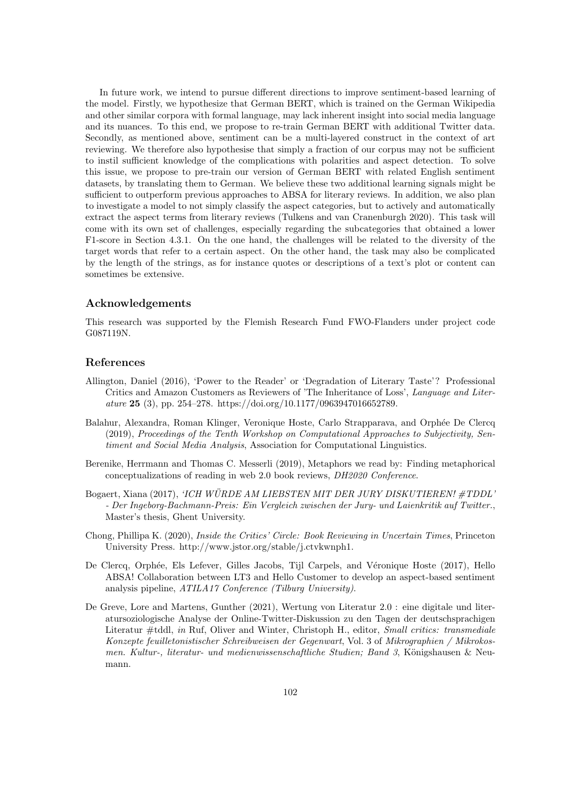In future work, we intend to pursue different directions to improve sentiment-based learning of the model. Firstly, we hypothesize that German BERT, which is trained on the German Wikipedia and other similar corpora with formal language, may lack inherent insight into social media language and its nuances. To this end, we propose to re-train German BERT with additional Twitter data. Secondly, as mentioned above, sentiment can be a multi-layered construct in the context of art reviewing. We therefore also hypothesise that simply a fraction of our corpus may not be sufficient to instil sufficient knowledge of the complications with polarities and aspect detection. To solve this issue, we propose to pre-train our version of German BERT with related English sentiment datasets, by translating them to German. We believe these two additional learning signals might be sufficient to outperform previous approaches to ABSA for literary reviews. In addition, we also plan to investigate a model to not simply classify the aspect categories, but to actively and automatically extract the aspect terms from literary reviews (Tulkens and van Cranenburgh 2020). This task will come with its own set of challenges, especially regarding the subcategories that obtained a lower F1-score in Section 4.3.1. On the one hand, the challenges will be related to the diversity of the target words that refer to a certain aspect. On the other hand, the task may also be complicated by the length of the strings, as for instance quotes or descriptions of a text's plot or content can sometimes be extensive.

## Acknowledgements

This research was supported by the Flemish Research Fund FWO-Flanders under project code G087119N.

## References

- Allington, Daniel (2016), 'Power to the Reader' or 'Degradation of Literary Taste'? Professional Critics and Amazon Customers as Reviewers of 'The Inheritance of Loss', Language and Literature 25 (3), pp. 254–278. https://doi.org/10.1177/0963947016652789.
- Balahur, Alexandra, Roman Klinger, Veronique Hoste, Carlo Strapparava, and Orphée De Clercq (2019), Proceedings of the Tenth Workshop on Computational Approaches to Subjectivity, Sentiment and Social Media Analysis, Association for Computational Linguistics.
- Berenike, Herrmann and Thomas C. Messerli (2019), Metaphors we read by: Finding metaphorical conceptualizations of reading in web 2.0 book reviews, DH2020 Conference.
- Bogaert, Xiana (2017), 'ICH WÜRDE AM LIEBSTEN MIT DER JURY DISKUTIEREN! #TDDL' - Der Ingeborg-Bachmann-Preis: Ein Vergleich zwischen der Jury- und Laienkritik auf Twitter., Master's thesis, Ghent University.
- Chong, Phillipa K. (2020), Inside the Critics' Circle: Book Reviewing in Uncertain Times, Princeton University Press. http://www.jstor.org/stable/j.ctvkwnph1.
- De Clercq, Orphée, Els Lefever, Gilles Jacobs, Tijl Carpels, and Véronique Hoste (2017), Hello ABSA! Collaboration between LT3 and Hello Customer to develop an aspect-based sentiment analysis pipeline, ATILA17 Conference (Tilburg University).
- De Greve, Lore and Martens, Gunther (2021), Wertung von Literatur 2.0 : eine digitale und literatursoziologische Analyse der Online-Twitter-Diskussion zu den Tagen der deutschsprachigen Literatur #tddl, in Ruf, Oliver and Winter, Christoph H., editor, Small critics: transmediale Konzepte feuilletonistischer Schreibweisen der Gegenwart, Vol. 3 of Mikrographien / Mikrokosmen. Kultur-, literatur- und medienwissenschaftliche Studien; Band 3, Königshausen & Neumann.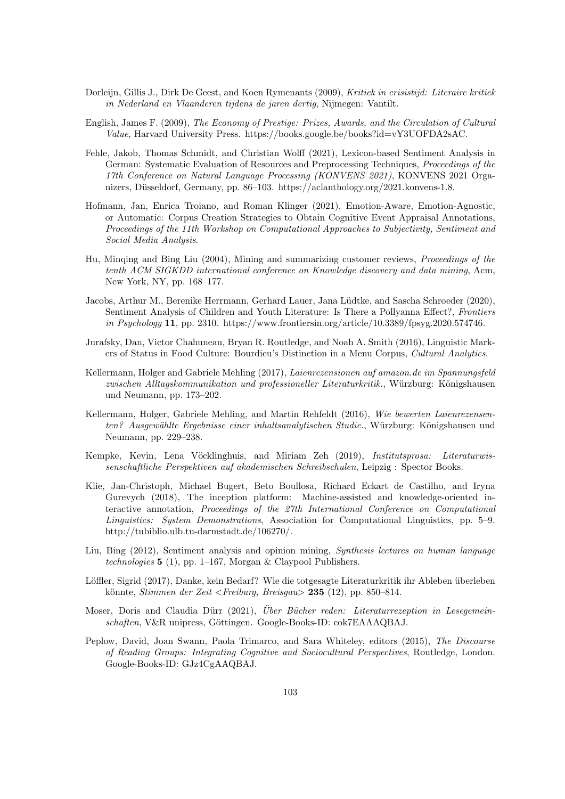- Dorleijn, Gillis J., Dirk De Geest, and Koen Rymenants (2009), Kritiek in crisistijd: Literaire kritiek in Nederland en Vlaanderen tijdens de jaren dertig, Nijmegen: Vantilt.
- English, James F. (2009), The Economy of Prestige: Prizes, Awards, and the Circulation of Cultural Value, Harvard University Press. https://books.google.be/books?id=vY3UOFDA2sAC.
- Fehle, Jakob, Thomas Schmidt, and Christian Wolff (2021), Lexicon-based Sentiment Analysis in German: Systematic Evaluation of Resources and Preprocessing Techniques, Proceedings of the 17th Conference on Natural Language Processing (KONVENS 2021), KONVENS 2021 Organizers, Düsseldorf, Germany, pp. 86–103. https://aclanthology.org/2021.konvens-1.8.
- Hofmann, Jan, Enrica Troiano, and Roman Klinger (2021), Emotion-Aware, Emotion-Agnostic, or Automatic: Corpus Creation Strategies to Obtain Cognitive Event Appraisal Annotations, Proceedings of the 11th Workshop on Computational Approaches to Subjectivity, Sentiment and Social Media Analysis.
- Hu, Minqing and Bing Liu (2004), Mining and summarizing customer reviews, Proceedings of the tenth ACM SIGKDD international conference on Knowledge discovery and data mining, Acm, New York, NY, pp. 168–177.
- Jacobs, Arthur M., Berenike Herrmann, Gerhard Lauer, Jana Lüdtke, and Sascha Schroeder (2020), Sentiment Analysis of Children and Youth Literature: Is There a Pollyanna Effect?, Frontiers in Psychology 11, pp. 2310. https://www.frontiersin.org/article/10.3389/fpsyg.2020.574746.
- Jurafsky, Dan, Victor Chahuneau, Bryan R. Routledge, and Noah A. Smith (2016), Linguistic Markers of Status in Food Culture: Bourdieu's Distinction in a Menu Corpus, Cultural Analytics.
- Kellermann, Holger and Gabriele Mehling (2017), Laienrezensionen auf amazon.de im Spannungsfeld zwischen Alltagskommunikation und professioneller Literaturkritik., Würzburg: Königshausen und Neumann, pp. 173–202.
- Kellermann, Holger, Gabriele Mehling, and Martin Rehfeldt (2016), Wie bewerten Laienrezensenten? Ausgewählte Ergebnisse einer inhaltsanalytischen Studie., Würzburg: Königshausen und Neumann, pp. 229–238.
- Kempke, Kevin, Lena Vöcklinghuis, and Miriam Zeh (2019), Institutsprosa: Literaturwissenschaftliche Perspektiven auf akademischen Schreibschulen, Leipzig : Spector Books.
- Klie, Jan-Christoph, Michael Bugert, Beto Boullosa, Richard Eckart de Castilho, and Iryna Gurevych (2018), The inception platform: Machine-assisted and knowledge-oriented interactive annotation, Proceedings of the 27th International Conference on Computational Linguistics: System Demonstrations, Association for Computational Linguistics, pp. 5–9. http://tubiblio.ulb.tu-darmstadt.de/106270/.
- Liu, Bing (2012), Sentiment analysis and opinion mining, Synthesis lectures on human language technologies  $5(1)$ , pp. 1–167, Morgan & Claypool Publishers.
- Löffler, Sigrid (2017), Danke, kein Bedarf? Wie die totgesagte Literaturkritik ihr Ableben überleben könnte, Stimmen der Zeit <Freiburg, Breisgau > 235 (12), pp. 850–814.
- Moser, Doris and Claudia Dürr (2021), *Über Bücher reden: Literaturrezeption in Lesegemein*schaften, V&R unipress, Göttingen. Google-Books-ID: cok7EAAAQBAJ.
- Peplow, David, Joan Swann, Paola Trimarco, and Sara Whiteley, editors (2015), The Discourse of Reading Groups: Integrating Cognitive and Sociocultural Perspectives, Routledge, London. Google-Books-ID: GJz4CgAAQBAJ.